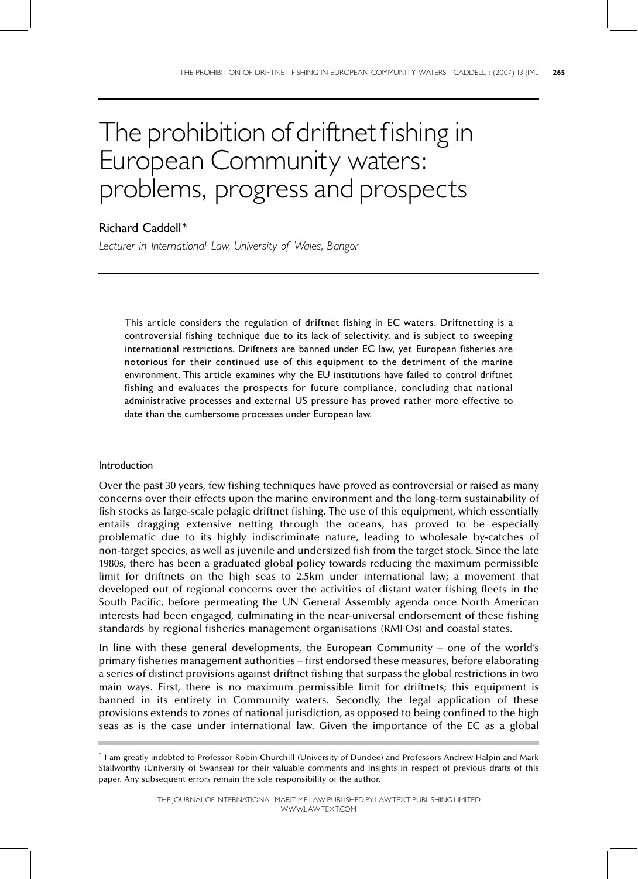# The prohibition of driftnet fishing in European Community waters: problems, progress and prospects

# Richard Caddell\*

Lecturer in International Law, University of Wales, Bangor

This article considers the regulation of driftnet fishing in EC waters. Driftnetting is a controversial fishing technique due to its lack of selectivity, and is subject to sweeping international restrictions. Driftnets are banned under EC law, yet European fisheries are notorious for their continued use of this equipment to the detriment of the marine environment. This article examines why the EU institutions have failed to control driftnet fishing and evaluates the prospects for future compliance, concluding that national administrative processes and external US pressure has proved rather more effective to date than the cumbersome processes under European law.

# Introduction

Over the past 30 years, few fishing techniques have proved as controversial or raised as many concerns over their effects upon the marine environment and the long-term sustainability of fish stocks as large-scale pelagic driftnet fishing. The use of this equipment, which essentially entails dragging extensive netting through the oceans, has proved to be especially problematic due to its highly indiscriminate nature, leading to wholesale by-catches of non-target species, as well as juvenile and undersized fish from the target stock. Since the late 1980s, there has been a graduated global policy towards reducing the maximum permissible limit for driftnets on the high seas to 2.5km under international law; a movement that developed out of regional concerns over the activities of distant water fishing fleets in the South Pacific, before permeating the UN General Assembly agenda once North American interests had been engaged, culminating in the near-universal endorsement of these fishing standards by regional fisheries management organisations (RMFOs) and coastal states.

In line with these general developments, the European Community – one of the world's primary fisheries management authorities – first endorsed these measures, before elaborating a series of distinct provisions against driftnet fishing that surpass the global restrictions in two main ways. First, there is no maximum permissible limit for driftnets; this equipment is banned in its entirety in Community waters. Secondly, the legal application of these provisions extends to zones of national jurisdiction, as opposed to being confined to the high seas as is the case under international law. Given the importance of the EC as a global

<sup>\*</sup> I am greatly indebted to Professor Robin Churchill (University of Dundee) and Professors Andrew Halpin and Mark Stallworthy (University of Swansea) for their valuable comments and insights in respect of previous drafts of this paper. Any subsequent errors remain the sole responsibility of the author.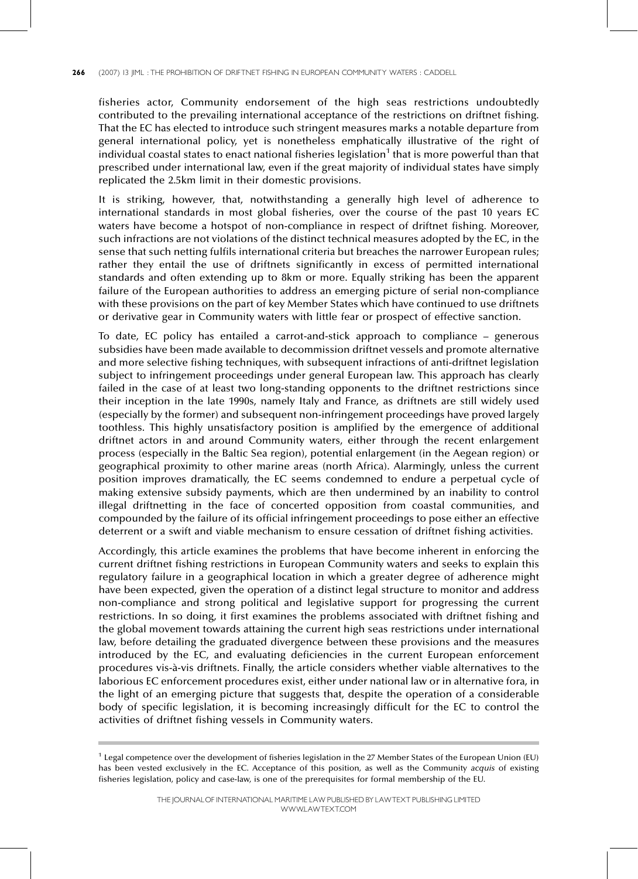fisheries actor, Community endorsement of the high seas restrictions undoubtedly contributed to the prevailing international acceptance of the restrictions on driftnet fishing. That the EC has elected to introduce such stringent measures marks a notable departure from general international policy, yet is nonetheless emphatically illustrative of the right of individual coastal states to enact national fisheries legislation<sup>1</sup> that is more powerful than that prescribed under international law, even if the great majority of individual states have simply replicated the 2.5km limit in their domestic provisions.

It is striking, however, that, notwithstanding a generally high level of adherence to international standards in most global fisheries, over the course of the past 10 years EC waters have become a hotspot of non-compliance in respect of driftnet fishing. Moreover, such infractions are not violations of the distinct technical measures adopted by the EC, in the sense that such netting fulfils international criteria but breaches the narrower European rules; rather they entail the use of driftnets significantly in excess of permitted international standards and often extending up to 8km or more. Equally striking has been the apparent failure of the European authorities to address an emerging picture of serial non-compliance with these provisions on the part of key Member States which have continued to use driftnets or derivative gear in Community waters with little fear or prospect of effective sanction.

To date, EC policy has entailed a carrot-and-stick approach to compliance  $-$  generous subsidies have been made available to decommission driftnet vessels and promote alternative and more selective fishing techniques, with subsequent infractions of anti-driftnet legislation subject to infringement proceedings under general European law. This approach has clearly failed in the case of at least two long-standing opponents to the driftnet restrictions since their inception in the late 1990s, namely Italy and France, as driftnets are still widely used (especially by the former) and subsequent non-infringement proceedings have proved largely toothless. This highly unsatisfactory position is amplified by the emergence of additional driftnet actors in and around Community waters, either through the recent enlargement process (especially in the Baltic Sea region), potential enlargement (in the Aegean region) or geographical proximity to other marine areas (north Africa). Alarmingly, unless the current position improves dramatically, the EC seems condemned to endure a perpetual cycle of making extensive subsidy payments, which are then undermined by an inability to control illegal driftnetting in the face of concerted opposition from coastal communities, and compounded by the failure of its official infringement proceedings to pose either an effective deterrent or a swift and viable mechanism to ensure cessation of driftnet fishing activities.

Accordingly, this article examines the problems that have become inherent in enforcing the current driftnet fishing restrictions in European Community waters and seeks to explain this regulatory failure in a geographical location in which a greater degree of adherence might have been expected, given the operation of a distinct legal structure to monitor and address non-compliance and strong political and legislative support for progressing the current restrictions. In so doing, it first examines the problems associated with driftnet fishing and the global movement towards attaining the current high seas restrictions under international law, before detailing the graduated divergence between these provisions and the measures introduced by the EC, and evaluating deficiencies in the current European enforcement procedures vis-à-vis driftnets. Finally, the article considers whether viable alternatives to the laborious EC enforcement procedures exist, either under national law or in alternative fora, in the light of an emerging picture that suggests that, despite the operation of a considerable body of specific legislation, it is becoming increasingly difficult for the EC to control the activities of driftnet fishing vessels in Community waters.

 $1$  Legal competence over the development of fisheries legislation in the 27 Member States of the European Union (EU) has been vested exclusively in the EC. Acceptance of this position, as well as the Community acquis of existing fisheries legislation, policy and case-law, is one of the prerequisites for formal membership of the EU.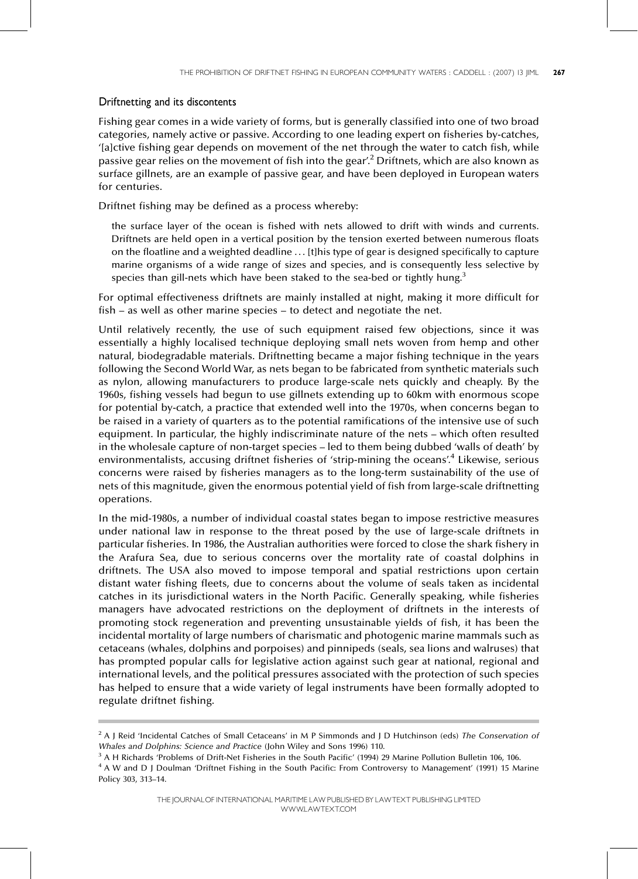# Driftnetting and its discontents

Fishing gear comes in a wide variety of forms, but is generally classified into one of two broad categories, namely active or passive. According to one leading expert on fisheries by-catches, `[a]ctive fishing gear depends on movement of the net through the water to catch fish, while passive gear relies on the movement of fish into the gear'.<sup>2</sup> Driftnets, which are also known as surface gillnets, are an example of passive gear, and have been deployed in European waters for centuries.

Driftnet fishing may be defined as a process whereby:

the surface layer of the ocean is fished with nets allowed to drift with winds and currents. Driftnets are held open in a vertical position by the tension exerted between numerous floats on the floatline and a weighted deadline . . . [t]his type of gear is designed specifically to capture marine organisms of a wide range of sizes and species, and is consequently less selective by species than gill-nets which have been staked to the sea-bed or tightly hung.<sup>3</sup>

For optimal effectiveness driftnets are mainly installed at night, making it more difficult for  $fish - as well as other marine species - to detect and negotiate the net.$ 

Until relatively recently, the use of such equipment raised few objections, since it was essentially a highly localised technique deploying small nets woven from hemp and other natural, biodegradable materials. Driftnetting became a major fishing technique in the years following the Second World War, as nets began to be fabricated from synthetic materials such as nylon, allowing manufacturers to produce large-scale nets quickly and cheaply. By the 1960s, fishing vessels had begun to use gillnets extending up to 60km with enormous scope for potential by-catch, a practice that extended well into the 1970s, when concerns began to be raised in a variety of quarters as to the potential ramifications of the intensive use of such equipment. In particular, the highly indiscriminate nature of the nets - which often resulted in the wholesale capture of non-target species - led to them being dubbed 'walls of death' by environmentalists, accusing driftnet fisheries of 'strip-mining the oceans'.<sup>4</sup> Likewise, serious concerns were raised by fisheries managers as to the long-term sustainability of the use of nets of this magnitude, given the enormous potential yield of fish from large-scale driftnetting operations.

In the mid-1980s, a number of individual coastal states began to impose restrictive measures under national law in response to the threat posed by the use of large-scale driftnets in particular fisheries. In 1986, the Australian authorities were forced to close the shark fishery in the Arafura Sea, due to serious concerns over the mortality rate of coastal dolphins in driftnets. The USA also moved to impose temporal and spatial restrictions upon certain distant water fishing fleets, due to concerns about the volume of seals taken as incidental catches in its jurisdictional waters in the North Pacific. Generally speaking, while fisheries managers have advocated restrictions on the deployment of driftnets in the interests of promoting stock regeneration and preventing unsustainable yields of fish, it has been the incidental mortality of large numbers of charismatic and photogenic marine mammals such as cetaceans (whales, dolphins and porpoises) and pinnipeds (seals, sea lions and walruses) that has prompted popular calls for legislative action against such gear at national, regional and international levels, and the political pressures associated with the protection of such species has helped to ensure that a wide variety of legal instruments have been formally adopted to regulate driftnet fishing.

<sup>&</sup>lt;sup>2</sup> A J Reid 'Incidental Catches of Small Cetaceans' in M P Simmonds and J D Hutchinson (eds) The Conservation of Whales and Dolphins: Science and Practice (John Wiley and Sons 1996) 110.

 $3$  A H Richards 'Problems of Drift-Net Fisheries in the South Pacific' (1994) 29 Marine Pollution Bulletin 106, 106.

<sup>&</sup>lt;sup>4</sup> A W and D J Doulman 'Driftnet Fishing in the South Pacific: From Controversy to Management' (1991) 15 Marine Policy 303, 313-14.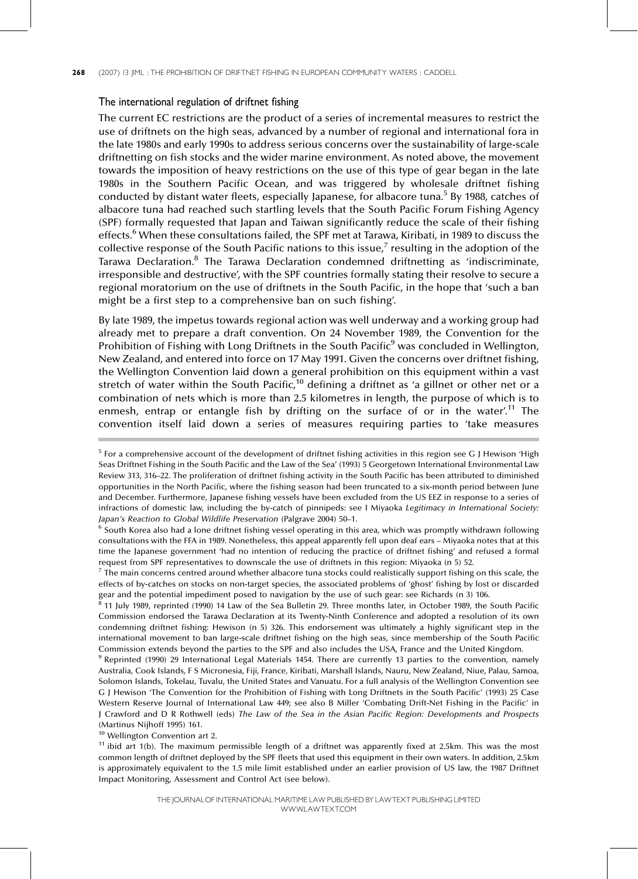## The international regulation of driftnet fishing

The current EC restrictions are the product of a series of incremental measures to restrict the use of driftnets on the high seas, advanced by a number of regional and international fora in the late 1980s and early 1990s to address serious concerns over the sustainability of large-scale driftnetting on fish stocks and the wider marine environment. As noted above, the movement towards the imposition of heavy restrictions on the use of this type of gear began in the late 1980s in the Southern Pacific Ocean, and was triggered by wholesale driftnet fishing conducted by distant water fleets, especially Japanese, for albacore tuna.<sup>5</sup> By 1988, catches of albacore tuna had reached such startling levels that the South Pacific Forum Fishing Agency (SPF) formally requested that Japan and Taiwan significantly reduce the scale of their fishing effects.<sup>6</sup> When these consultations failed, the SPF met at Tarawa, Kiribati, in 1989 to discuss the collective response of the South Pacific nations to this issue,<sup>7</sup> resulting in the adoption of the Tarawa Declaration.<sup>8</sup> The Tarawa Declaration condemned driftnetting as 'indiscriminate, irresponsible and destructive', with the SPF countries formally stating their resolve to secure a regional moratorium on the use of driftnets in the South Pacific, in the hope that 'such a ban might be a first step to a comprehensive ban on such fishing'.

By late 1989, the impetus towards regional action was well underway and a working group had already met to prepare a draft convention. On 24 November 1989, the Convention for the Prohibition of Fishing with Long Driftnets in the South Pacific<sup>9</sup> was concluded in Wellington, New Zealand, and entered into force on 17 May 1991. Given the concerns over driftnet fishing, the Wellington Convention laid down a general prohibition on this equipment within a vast stretch of water within the South Pacific,<sup>10</sup> defining a driftnet as 'a gillnet or other net or a combination of nets which is more than 2.5 kilometres in length, the purpose of which is to enmesh, entrap or entangle fish by drifting on the surface of or in the water'.<sup>11</sup> The convention itself laid down a series of measures requiring parties to 'take measures

<sup>6</sup> South Korea also had a lone driftnet fishing vessel operating in this area, which was promptly withdrawn following consultations with the FFA in 1989. Nonetheless, this appeal apparently fell upon deaf ears - Miyaoka notes that at this time the Japanese government 'had no intention of reducing the practice of driftnet fishing' and refused a formal request from SPF representatives to downscale the use of driftnets in this region: Miyaoka (n 5) 52.

 $^7$  The main concerns centred around whether albacore tuna stocks could realistically support fishing on this scale, the effects of by-catches on stocks on non-target species, the associated problems of `ghost' fishing by lost or discarded gear and the potential impediment posed to navigation by the use of such gear: see Richards (n 3) 106.<br><sup>8</sup> 11 July 1989, reprinted (1999) 111. (1999) 11. (1999) 11. (1999) 11. (1999) 11. (1999) 106.

<sup>8</sup> 11 July 1989, reprinted (1990) 14 Law of the Sea Bulletin 29. Three months later, in October 1989, the South Pacific Commission endorsed the Tarawa Declaration at its Twenty-Ninth Conference and adopted a resolution of its own condemning driftnet fishing: Hewison (n 5) 326. This endorsement was ultimately a highly significant step in the international movement to ban large-scale driftnet fishing on the high seas, since membership of the South Pacific Commission extends beyond the parties to the SPF and also includes the USA, France and the United Kingdom.

<sup>9</sup> Reprinted (1990) 29 International Legal Materials 1454. There are currently 13 parties to the convention, namely Australia, Cook Islands, F S Micronesia, Fiji, France, Kiribati, Marshall Islands, Nauru, New Zealand, Niue, Palau, Samoa, Solomon Islands, Tokelau, Tuvalu, the United States and Vanuatu. For a full analysis of the Wellington Convention see G J Hewison `The Convention for the Prohibition of Fishing with Long Driftnets in the South Pacific' (1993) 25 Case Western Reserve Journal of International Law 449; see also B Miller 'Combating Drift-Net Fishing in the Pacific' in J Crawford and D R Rothwell (eds) The Law of the Sea in the Asian Pacific Region: Developments and Prospects (Martinus Nijhoff 1995) 161.

<sup>10</sup> Wellington Convention art 2.

<sup>11</sup> ibid art 1(b). The maximum permissible length of a driftnet was apparently fixed at 2.5km. This was the most common length of driftnet deployed by the SPF fleets that used this equipment in their own waters. In addition, 2.5km is approximately equivalent to the 1.5 mile limit established under an earlier provision of US law, the 1987 Driftnet Impact Monitoring, Assessment and Control Act (see below).

 $<sup>5</sup>$  For a comprehensive account of the development of driftnet fishing activities in this region see G J Hewison 'High</sup> Seas Driftnet Fishing in the South Pacific and the Law of the Sea' (1993) 5 Georgetown International Environmental Law Review 313, 316-22. The proliferation of driftnet fishing activity in the South Pacific has been attributed to diminished opportunities in the North Pacific, where the fishing season had been truncated to a six-month period between June and December. Furthermore, Japanese fishing vessels have been excluded from the US EEZ in response to a series of infractions of domestic law, including the by-catch of pinnipeds: see I Miyaoka Legitimacy in International Society: Japan's Reaction to Global Wildlife Preservation (Palgrave 2004) 50-1.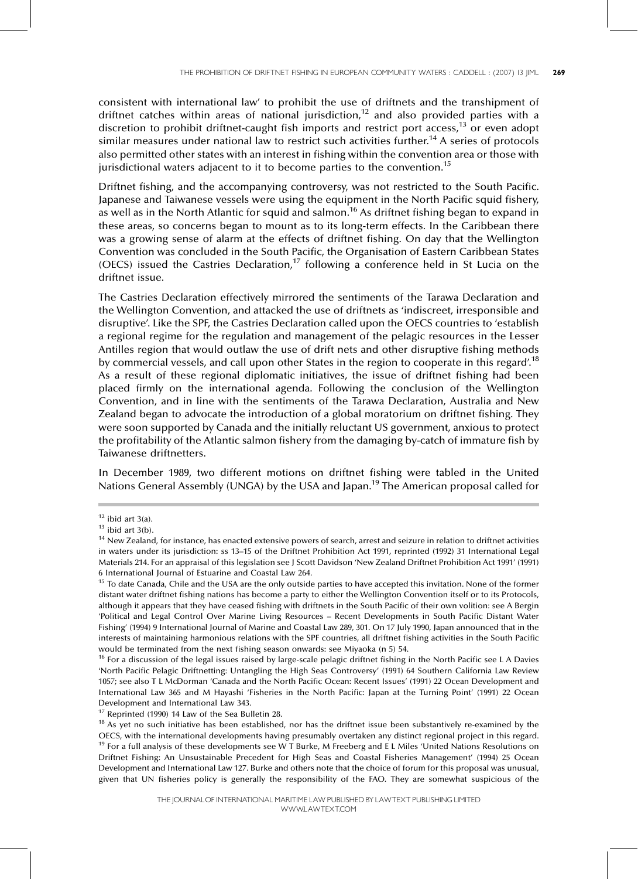consistent with international law' to prohibit the use of driftnets and the transhipment of driftnet catches within areas of national jurisdiction,<sup>12</sup> and also provided parties with a discretion to prohibit driftnet-caught fish imports and restrict port access,<sup>13</sup> or even adopt similar measures under national law to restrict such activities further.<sup>14</sup> A series of protocols also permitted other states with an interest in fishing within the convention area or those with jurisdictional waters adjacent to it to become parties to the convention.<sup>15</sup>

Driftnet fishing, and the accompanying controversy, was not restricted to the South Pacific. Japanese and Taiwanese vessels were using the equipment in the North Pacific squid fishery, as well as in the North Atlantic for squid and salmon.<sup>16</sup> As driftnet fishing began to expand in these areas, so concerns began to mount as to its long-term effects. In the Caribbean there was a growing sense of alarm at the effects of driftnet fishing. On day that the Wellington Convention was concluded in the South Pacific, the Organisation of Eastern Caribbean States (OECS) issued the Castries Declaration,<sup>17</sup> following a conference held in St Lucia on the driftnet issue.

The Castries Declaration effectively mirrored the sentiments of the Tarawa Declaration and the Wellington Convention, and attacked the use of driftnets as 'indiscreet, irresponsible and disruptive'. Like the SPF, the Castries Declaration called upon the OECS countries to 'establish a regional regime for the regulation and management of the pelagic resources in the Lesser Antilles region that would outlaw the use of drift nets and other disruptive fishing methods by commercial vessels, and call upon other States in the region to cooperate in this regard'.<sup>18</sup> As a result of these regional diplomatic initiatives, the issue of driftnet fishing had been placed firmly on the international agenda. Following the conclusion of the Wellington Convention, and in line with the sentiments of the Tarawa Declaration, Australia and New Zealand began to advocate the introduction of a global moratorium on driftnet fishing. They were soon supported by Canada and the initially reluctant US government, anxious to protect the profitability of the Atlantic salmon fishery from the damaging by-catch of immature fish by Taiwanese driftnetters.

In December 1989, two different motions on driftnet fishing were tabled in the United Nations General Assembly (UNGA) by the USA and Japan.<sup>19</sup> The American proposal called for

 $17$  Reprinted (1990) 14 Law of the Sea Bulletin 28.

 $12$  ibid art 3(a).

 $13$  ibid art 3(b).

<sup>&</sup>lt;sup>14</sup> New Zealand, for instance, has enacted extensive powers of search, arrest and seizure in relation to driftnet activities in waters under its jurisdiction: ss 13-15 of the Driftnet Prohibition Act 1991, reprinted (1992) 31 International Legal Materials 214. For an appraisal of this legislation see J Scott Davidson `New Zealand Driftnet Prohibition Act 1991' (1991) 6 International Journal of Estuarine and Coastal Law 264.

<sup>&</sup>lt;sup>15</sup> To date Canada, Chile and the USA are the only outside parties to have accepted this invitation. None of the former distant water driftnet fishing nations has become a party to either the Wellington Convention itself or to its Protocols, although it appears that they have ceased fishing with driftnets in the South Pacific of their own volition: see A Bergin 'Political and Legal Control Over Marine Living Resources - Recent Developments in South Pacific Distant Water Fishing' (1994) 9 International Journal of Marine and Coastal Law 289, 301. On 17 July 1990, Japan announced that in the interests of maintaining harmonious relations with the SPF countries, all driftnet fishing activities in the South Pacific would be terminated from the next fishing season onwards: see Miyaoka (n 5) 54.

<sup>&</sup>lt;sup>16</sup> For a discussion of the legal issues raised by large-scale pelagic driftnet fishing in the North Pacific see L A Davies `North Pacific Pelagic Driftnetting: Untangling the High Seas Controversy' (1991) 64 Southern California Law Review 1057; see also T L McDorman `Canada and the North Pacific Ocean: Recent Issues' (1991) 22 Ocean Development and International Law 365 and M Hayashi `Fisheries in the North Pacific: Japan at the Turning Point' (1991) 22 Ocean Development and International Law 343.

 $18$  As yet no such initiative has been established, nor has the driftnet issue been substantively re-examined by the OECS, with the international developments having presumably overtaken any distinct regional project in this regard.  $19$  For a full analysis of these developments see W T Burke, M Freeberg and E L Miles 'United Nations Resolutions on Driftnet Fishing: An Unsustainable Precedent for High Seas and Coastal Fisheries Management' (1994) 25 Ocean Development and International Law 127. Burke and others note that the choice of forum for this proposal was unusual, given that UN fisheries policy is generally the responsibility of the FAO. They are somewhat suspicious of the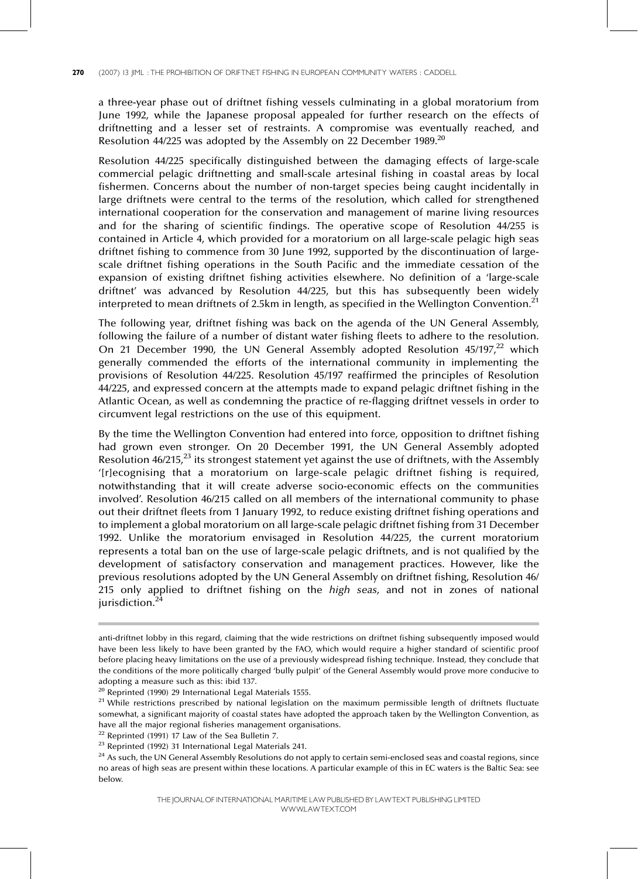a three-year phase out of driftnet fishing vessels culminating in a global moratorium from June 1992, while the Japanese proposal appealed for further research on the effects of driftnetting and a lesser set of restraints. A compromise was eventually reached, and Resolution 44/225 was adopted by the Assembly on 22 December 1989. $^{20}$ 

Resolution 44/225 specifically distinguished between the damaging effects of large-scale commercial pelagic driftnetting and small-scale artesinal fishing in coastal areas by local fishermen. Concerns about the number of non-target species being caught incidentally in large driftnets were central to the terms of the resolution, which called for strengthened international cooperation for the conservation and management of marine living resources and for the sharing of scientific findings. The operative scope of Resolution 44/255 is contained in Article 4, which provided for a moratorium on all large-scale pelagic high seas driftnet fishing to commence from 30 June 1992, supported by the discontinuation of largescale driftnet fishing operations in the South Pacific and the immediate cessation of the expansion of existing driftnet fishing activities elsewhere. No definition of a 'large-scale driftnet' was advanced by Resolution 44/225, but this has subsequently been widely interpreted to mean driftnets of 2.5km in length, as specified in the Wellington Convention.<sup>21</sup>

The following year, driftnet fishing was back on the agenda of the UN General Assembly, following the failure of a number of distant water fishing fleets to adhere to the resolution. On 21 December 1990, the UN General Assembly adopted Resolution  $45/197$ , $^{22}$  which generally commended the efforts of the international community in implementing the provisions of Resolution 44/225. Resolution 45/197 reaffirmed the principles of Resolution 44/225, and expressed concern at the attempts made to expand pelagic driftnet fishing in the Atlantic Ocean, as well as condemning the practice of re-flagging driftnet vessels in order to circumvent legal restrictions on the use of this equipment.

By the time the Wellington Convention had entered into force, opposition to driftnet fishing had grown even stronger. On 20 December 1991, the UN General Assembly adopted Resolution  $46/215$ ,  $^{23}$  its strongest statement yet against the use of driftnets, with the Assembly `[r]ecognising that a moratorium on large-scale pelagic driftnet fishing is required, notwithstanding that it will create adverse socio-economic effects on the communities involved'. Resolution 46/215 called on all members of the international community to phase out their driftnet fleets from 1 January 1992, to reduce existing driftnet fishing operations and to implement a global moratorium on all large-scale pelagic driftnet fishing from 31 December 1992. Unlike the moratorium envisaged in Resolution 44/225, the current moratorium represents a total ban on the use of large-scale pelagic driftnets, and is not qualified by the development of satisfactory conservation and management practices. However, like the previous resolutions adopted by the UN General Assembly on driftnet fishing, Resolution 46/ 215 only applied to driftnet fishing on the high seas, and not in zones of national jurisdiction.<sup>2</sup>

anti-driftnet lobby in this regard, claiming that the wide restrictions on driftnet fishing subsequently imposed would have been less likely to have been granted by the FAO, which would require a higher standard of scientific proof before placing heavy limitations on the use of a previously widespread fishing technique. Instead, they conclude that the conditions of the more politically charged 'bully pulpit' of the General Assembly would prove more conducive to adopting a measure such as this: ibid 137.

<sup>20</sup> Reprinted (1990) 29 International Legal Materials 1555.

 $21$  While restrictions prescribed by national legislation on the maximum permissible length of driftnets fluctuate somewhat, a significant majority of coastal states have adopted the approach taken by the Wellington Convention, as have all the major regional fisheries management organisations.

 $22$  Reprinted (1991) 17 Law of the Sea Bulletin 7.

<sup>23</sup> Reprinted (1992) 31 International Legal Materials 241.

<sup>&</sup>lt;sup>24</sup> As such, the UN General Assembly Resolutions do not apply to certain semi-enclosed seas and coastal regions, since no areas of high seas are present within these locations. A particular example of this in EC waters is the Baltic Sea: see below.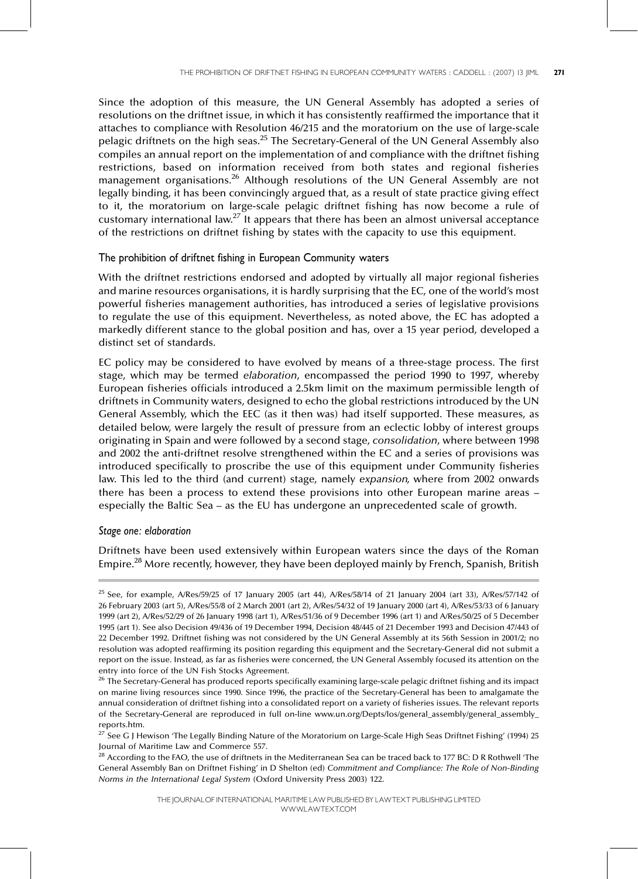Since the adoption of this measure, the UN General Assembly has adopted a series of resolutions on the driftnet issue, in which it has consistently reaffirmed the importance that it attaches to compliance with Resolution 46/215 and the moratorium on the use of large-scale pelagic driftnets on the high seas.<sup>25</sup> The Secretary-General of the UN General Assembly also compiles an annual report on the implementation of and compliance with the driftnet fishing restrictions, based on information received from both states and regional fisheries management organisations.<sup>26</sup> Although resolutions of the UN General Assembly are not legally binding, it has been convincingly argued that, as a result of state practice giving effect to it, the moratorium on large-scale pelagic driftnet fishing has now become a rule of customary international law.<sup>27</sup> It appears that there has been an almost universal acceptance of the restrictions on driftnet fishing by states with the capacity to use this equipment.

# The prohibition of driftnet fishing in European Community waters

With the driftnet restrictions endorsed and adopted by virtually all major regional fisheries and marine resources organisations, it is hardly surprising that the EC, one of the world's most powerful fisheries management authorities, has introduced a series of legislative provisions to regulate the use of this equipment. Nevertheless, as noted above, the EC has adopted a markedly different stance to the global position and has, over a 15 year period, developed a distinct set of standards.

EC policy may be considered to have evolved by means of a three-stage process. The first stage, which may be termed elaboration, encompassed the period 1990 to 1997, whereby European fisheries officials introduced a 2.5km limit on the maximum permissible length of driftnets in Community waters, designed to echo the global restrictions introduced by the UN General Assembly, which the EEC (as it then was) had itself supported. These measures, as detailed below, were largely the result of pressure from an eclectic lobby of interest groups originating in Spain and were followed by a second stage, consolidation, where between 1998 and 2002 the anti-driftnet resolve strengthened within the EC and a series of provisions was introduced specifically to proscribe the use of this equipment under Community fisheries law. This led to the third (and current) stage, namely expansion, where from 2002 onwards there has been a process to extend these provisions into other European marine areas – especially the Baltic Sea - as the EU has undergone an unprecedented scale of growth.

### Stage one: elaboration

Driftnets have been used extensively within European waters since the days of the Roman Empire.<sup>28</sup> More recently, however, they have been deployed mainly by French, Spanish, British

<sup>&</sup>lt;sup>25</sup> See, for example, A/Res/59/25 of 17 January 2005 (art 44), A/Res/58/14 of 21 January 2004 (art 33), A/Res/57/142 of 26 February 2003 (art 5), A/Res/55/8 of 2 March 2001 (art 2), A/Res/54/32 of 19 January 2000 (art 4), A/Res/53/33 of 6 January 1999 (art 2), A/Res/52/29 of 26 January 1998 (art 1), A/Res/51/36 of 9 December 1996 (art 1) and A/Res/50/25 of 5 December 1995 (art 1). See also Decision 49/436 of 19 December 1994, Decision 48/445 of 21 December 1993 and Decision 47/443 of 22 December 1992. Driftnet fishing was not considered by the UN General Assembly at its 56th Session in 2001/2; no resolution was adopted reaffirming its position regarding this equipment and the Secretary-General did not submit a report on the issue. Instead, as far as fisheries were concerned, the UN General Assembly focused its attention on the entry into force of the UN Fish Stocks Agreement.

<sup>&</sup>lt;sup>26</sup> The Secretary-General has produced reports specifically examining large-scale pelagic driftnet fishing and its impact on marine living resources since 1990. Since 1996, the practice of the Secretary-General has been to amalgamate the annual consideration of driftnet fishing into a consolidated report on a variety of fisheries issues. The relevant reports of the Secretary-General are reproduced in full on-line www.un.org/Depts/los/general\_assembly/general\_assembly\_

reports.htm.<br><sup>27</sup> See G J Hewison 'The Legally Binding Nature of the Moratorium on Large-Scale High Seas Driftnet Fishing' (1994) 25 Journal of Maritime Law and Commerce 557.

 $28$  According to the FAO, the use of driftnets in the Mediterranean Sea can be traced back to 177 BC: D R Rothwell The General Assembly Ban on Driftnet Fishing' in D Shelton (ed) Commitment and Compliance: The Role of Non-Binding Norms in the International Legal System (Oxford University Press 2003) 122.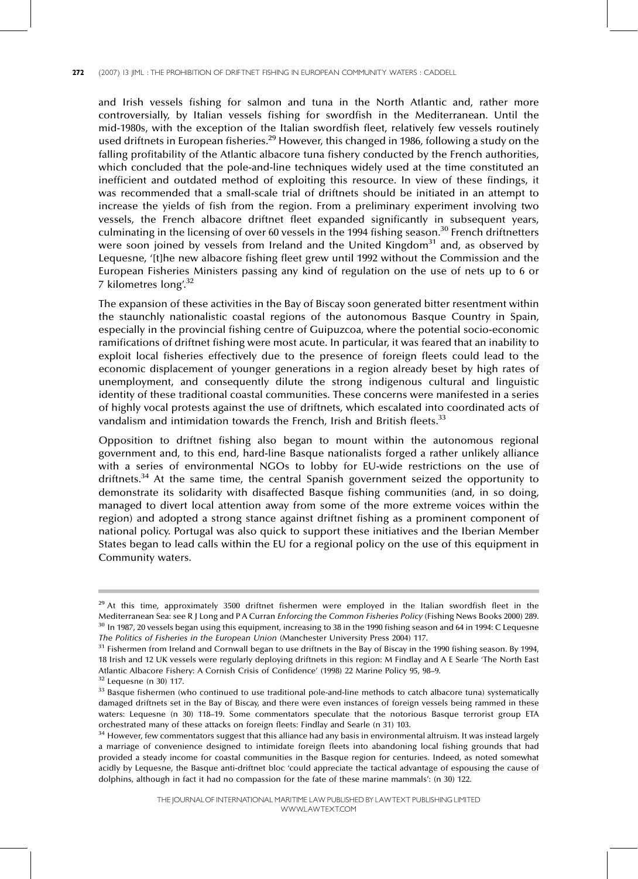and Irish vessels fishing for salmon and tuna in the North Atlantic and, rather more controversially, by Italian vessels fishing for swordfish in the Mediterranean. Until the mid-1980s, with the exception of the Italian swordfish fleet, relatively few vessels routinely used driftnets in European fisheries.<sup>29</sup> However, this changed in 1986, following a study on the falling profitability of the Atlantic albacore tuna fishery conducted by the French authorities, which concluded that the pole-and-line techniques widely used at the time constituted an inefficient and outdated method of exploiting this resource. In view of these findings, it was recommended that a small-scale trial of driftnets should be initiated in an attempt to increase the yields of fish from the region. From a preliminary experiment involving two vessels, the French albacore driftnet fleet expanded significantly in subsequent years, culminating in the licensing of over 60 vessels in the 1994 fishing season.<sup>30</sup> French driftnetters were soon joined by vessels from Ireland and the United Kingdom<sup>31</sup> and, as observed by Lequesne, `[t]he new albacore fishing fleet grew until 1992 without the Commission and the European Fisheries Ministers passing any kind of regulation on the use of nets up to 6 or 7 kilometres long'.<sup>32</sup>

The expansion of these activities in the Bay of Biscay soon generated bitter resentment within the staunchly nationalistic coastal regions of the autonomous Basque Country in Spain, especially in the provincial fishing centre of Guipuzcoa, where the potential socio-economic ramifications of driftnet fishing were most acute. In particular, it was feared that an inability to exploit local fisheries effectively due to the presence of foreign fleets could lead to the economic displacement of younger generations in a region already beset by high rates of unemployment, and consequently dilute the strong indigenous cultural and linguistic identity of these traditional coastal communities. These concerns were manifested in a series of highly vocal protests against the use of driftnets, which escalated into coordinated acts of vandalism and intimidation towards the French, Irish and British fleets.<sup>33</sup>

Opposition to driftnet fishing also began to mount within the autonomous regional government and, to this end, hard-line Basque nationalists forged a rather unlikely alliance with a series of environmental NGOs to lobby for EU-wide restrictions on the use of driftnets.<sup>34</sup> At the same time, the central Spanish government seized the opportunity to demonstrate its solidarity with disaffected Basque fishing communities (and, in so doing, managed to divert local attention away from some of the more extreme voices within the region) and adopted a strong stance against driftnet fishing as a prominent component of national policy. Portugal was also quick to support these initiatives and the Iberian Member States began to lead calls within the EU for a regional policy on the use of this equipment in Community waters.

 $29$  At this time, approximately 3500 driftnet fishermen were employed in the Italian swordfish fleet in the Mediterranean Sea: see R J Long and P A Curran Enforcing the Common Fisheries Policy (Fishing News Books 2000) 289.  $30$  In 1987, 20 vessels began using this equipment, increasing to 38 in the 1990 fishing season and 64 in 1994: C Lequesne The Politics of Fisheries in the European Union (Manchester University Press 2004) 117.

<sup>&</sup>lt;sup>31</sup> Fishermen from Ireland and Cornwall began to use driftnets in the Bay of Biscay in the 1990 fishing season. By 1994, 18 Irish and 12 UK vessels were regularly deploying driftnets in this region: M Findlay and A E Searle `The North East Atlantic Albacore Fishery: A Cornish Crisis of Confidence' (1998) 22 Marine Policy 95, 98-9.

 $32$  Lequesne (n 30) 117.

<sup>&</sup>lt;sup>33</sup> Basque fishermen (who continued to use traditional pole-and-line methods to catch albacore tuna) systematically damaged driftnets set in the Bay of Biscay, and there were even instances of foreign vessels being rammed in these waters: Lequesne (n 30) 118-19. Some commentators speculate that the notorious Basque terrorist group ETA orchestrated many of these attacks on foreign fleets: Findlay and Searle (n 31) 103.

<sup>&</sup>lt;sup>34</sup> However, few commentators suggest that this alliance had any basis in environmental altruism. It was instead largely a marriage of convenience designed to intimidate foreign fleets into abandoning local fishing grounds that had provided a steady income for coastal communities in the Basque region for centuries. Indeed, as noted somewhat acidly by Lequesne, the Basque anti-driftnet bloc 'could appreciate the tactical advantage of espousing the cause of dolphins, although in fact it had no compassion for the fate of these marine mammals': (n 30) 122.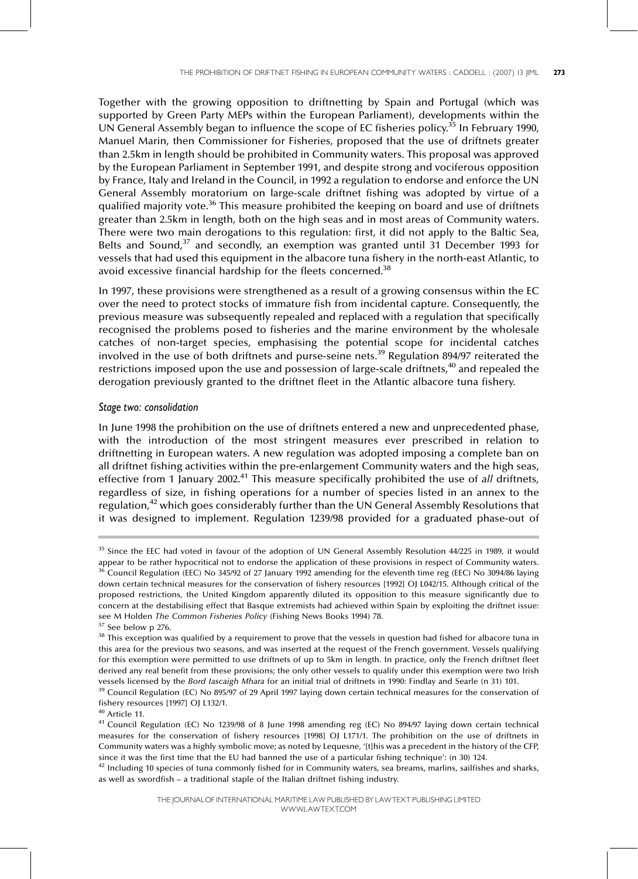Together with the growing opposition to driftnetting by Spain and Portugal (which was supported by Green Party MEPs within the European Parliament), developments within the UN General Assembly began to influence the scope of EC fisheries policy.<sup>35</sup> In February 1990, Manuel Marin, then Commissioner for Fisheries, proposed that the use of driftnets greater than 2.5km in length should be prohibited in Community waters. This proposal was approved by the European Parliament in September 1991, and despite strong and vociferous opposition by France, Italy and Ireland in the Council, in 1992 a regulation to endorse and enforce the UN General Assembly moratorium on large-scale driftnet fishing was adopted by virtue of a qualified majority vote.<sup>36</sup> This measure prohibited the keeping on board and use of driftnets greater than 2.5km in length, both on the high seas and in most areas of Community waters. There were two main derogations to this regulation: first, it did not apply to the Baltic Sea, Belts and Sound,<sup>37</sup> and secondly, an exemption was granted until 31 December 1993 for vessels that had used this equipment in the albacore tuna fishery in the north-east Atlantic, to avoid excessive financial hardship for the fleets concerned.<sup>38</sup>

In 1997, these provisions were strengthened as a result of a growing consensus within the EC over the need to protect stocks of immature fish from incidental capture. Consequently, the previous measure was subsequently repealed and replaced with a regulation that specifically recognised the problems posed to fisheries and the marine environment by the wholesale catches of non-target species, emphasising the potential scope for incidental catches involved in the use of both driftnets and purse-seine nets.39 Regulation 894/97 reiterated the restrictions imposed upon the use and possession of large-scale driftnets,<sup>40</sup> and repealed the derogation previously granted to the driftnet fleet in the Atlantic albacore tuna fishery.

## Stage two: consolidation

In June 1998 the prohibition on the use of driftnets entered a new and unprecedented phase, with the introduction of the most stringent measures ever prescribed in relation to driftnetting in European waters. A new regulation was adopted imposing a complete ban on all driftnet fishing activities within the pre-enlargement Community waters and the high seas, effective from 1 January 2002.<sup>41</sup> This measure specifically prohibited the use of all driftnets, regardless of size, in fishing operations for a number of species listed in an annex to the regulation,<sup>42</sup> which goes considerably further than the UN General Assembly Resolutions that it was designed to implement. Regulation 1239/98 provided for a graduated phase-out of

<sup>&</sup>lt;sup>35</sup> Since the EEC had voted in favour of the adoption of UN General Assembly Resolution 44/225 in 1989, it would appear to be rather hypocritical not to endorse the application of these provisions in respect of Community waters.  $36$  Council Regulation (EEC) No 345/92 of 27 January 1992 amending for the eleventh time reg (EEC) No 3094/86 laying down certain technical measures for the conservation of fishery resources [1992] OJ L042/15. Although critical of the proposed restrictions, the United Kingdom apparently diluted its opposition to this measure significantly due to concern at the destabilising effect that Basque extremists had achieved within Spain by exploiting the driftnet issue: see M Holden The Common Fisheries Policy (Fishing News Books 1994) 78.

 $37$  See below p 276.

<sup>&</sup>lt;sup>38</sup> This exception was qualified by a requirement to prove that the vessels in question had fished for albacore tuna in this area for the previous two seasons, and was inserted at the request of the French government. Vessels qualifying for this exemption were permitted to use driftnets of up to 5km in length. In practice, only the French driftnet fleet derived any real benefit from these provisions; the only other vessels to qualify under this exemption were two Irish vessels licensed by the Bord Iascaigh Mhara for an initial trial of driftnets in 1990: Findlay and Searle (n 31) 101.

<sup>&</sup>lt;sup>39</sup> Council Regulation (EC) No 895/97 of 29 April 1997 laying down certain technical measures for the conservation of fishery resources [1997] OJ L132/1.

<sup>40</sup> Article 11.

<sup>41</sup> Council Regulation (EC) No 1239/98 of 8 June 1998 amending reg (EC) No 894/97 laying down certain technical measures for the conservation of fishery resources [1998] OJ L171/1. The prohibition on the use of driftnets in Community waters was a highly symbolic move; as noted by Lequesne, '[t]his was a precedent in the history of the CFP, since it was the first time that the EU had banned the use of a particular fishing technique': (n 30) 124.

 $42$  Including 10 species of tuna commonly fished for in Community waters, sea breams, marlins, sailfishes and sharks, as well as swordfish - a traditional staple of the Italian driftnet fishing industry.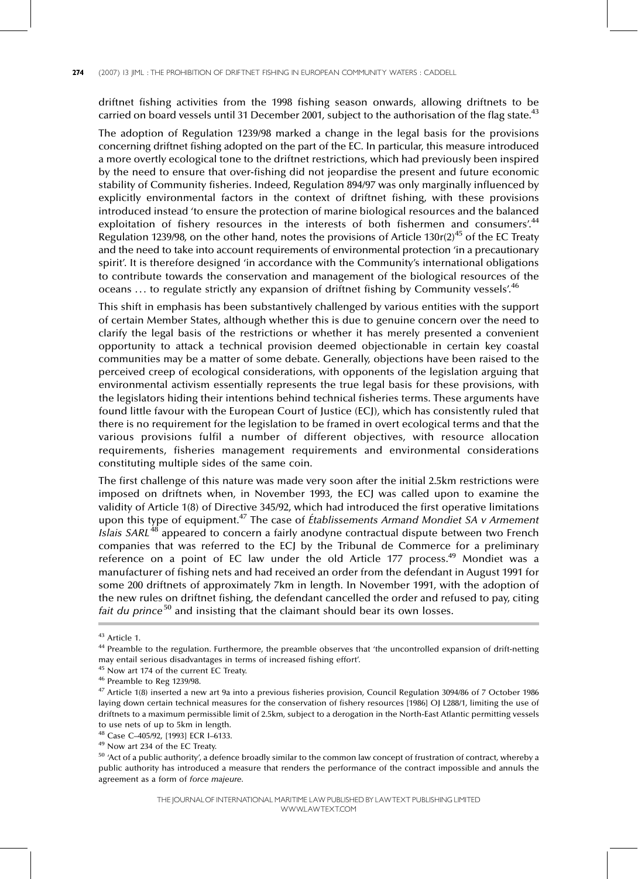driftnet fishing activities from the 1998 fishing season onwards, allowing driftnets to be carried on board vessels until 31 December 2001, subject to the authorisation of the flag state. $^{43}$ 

The adoption of Regulation 1239/98 marked a change in the legal basis for the provisions concerning driftnet fishing adopted on the part of the EC. In particular, this measure introduced a more overtly ecological tone to the driftnet restrictions, which had previously been inspired by the need to ensure that over-fishing did not jeopardise the present and future economic stability of Community fisheries. Indeed, Regulation 894/97 was only marginally influenced by explicitly environmental factors in the context of driftnet fishing, with these provisions introduced instead 'to ensure the protection of marine biological resources and the balanced exploitation of fishery resources in the interests of both fishermen and consumers'.<sup>44</sup> Regulation 1239/98, on the other hand, notes the provisions of Article 130r(2)<sup>45</sup> of the EC Treaty and the need to take into account requirements of environmental protection 'in a precautionary spirit'. It is therefore designed 'in accordance with the Community's international obligations to contribute towards the conservation and management of the biological resources of the oceans ... to regulate strictly any expansion of driftnet fishing by Community vessels.<sup>46</sup>

This shift in emphasis has been substantively challenged by various entities with the support of certain Member States, although whether this is due to genuine concern over the need to clarify the legal basis of the restrictions or whether it has merely presented a convenient opportunity to attack a technical provision deemed objectionable in certain key coastal communities may be a matter of some debate. Generally, objections have been raised to the perceived creep of ecological considerations, with opponents of the legislation arguing that environmental activism essentially represents the true legal basis for these provisions, with the legislators hiding their intentions behind technical fisheries terms. These arguments have found little favour with the European Court of Justice (ECJ), which has consistently ruled that there is no requirement for the legislation to be framed in overt ecological terms and that the various provisions fulfil a number of different objectives, with resource allocation requirements, fisheries management requirements and environmental considerations constituting multiple sides of the same coin.

The first challenge of this nature was made very soon after the initial 2.5km restrictions were imposed on driftnets when, in November 1993, the ECJ was called upon to examine the validity of Article 1(8) of Directive 345/92, which had introduced the first operative limitations upon this type of equipment.<sup>47</sup> The case of *Établissements Armand Mondiet SA v Armement*  $Islais$  SARL<sup>48</sup> appeared to concern a fairly anodyne contractual dispute between two French companies that was referred to the ECJ by the Tribunal de Commerce for a preliminary reference on a point of EC law under the old Article 177 process.<sup>49</sup> Mondiet was a manufacturer of fishing nets and had received an order from the defendant in August 1991 for some 200 driftnets of approximately 7km in length. In November 1991, with the adoption of the new rules on driftnet fishing, the defendant cancelled the order and refused to pay, citing fait du prince $50$  and insisting that the claimant should bear its own losses.

<sup>43</sup> Article 1.

<sup>&</sup>lt;sup>44</sup> Preamble to the regulation. Furthermore, the preamble observes that 'the uncontrolled expansion of drift-netting may entail serious disadvantages in terms of increased fishing effort'.

<sup>&</sup>lt;sup>45</sup> Now art 174 of the current EC Treaty.

<sup>46</sup> Preamble to Reg 1239/98.

<sup>47</sup> Article 1(8) inserted a new art 9a into a previous fisheries provision, Council Regulation 3094/86 of 7 October 1986 laying down certain technical measures for the conservation of fishery resources [1986] OJ L288/1, limiting the use of driftnets to a maximum permissible limit of 2.5km, subject to a derogation in the North-East Atlantic permitting vessels to use nets of up to 5km in length.

<sup>&</sup>lt;sup>48</sup> Case C-405/92, [1993] ECR I-6133.

<sup>49</sup> Now art 234 of the EC Treaty.

 $50$  'Act of a public authority', a defence broadly similar to the common law concept of frustration of contract, whereby a public authority has introduced a measure that renders the performance of the contract impossible and annuls the agreement as a form of force majeure.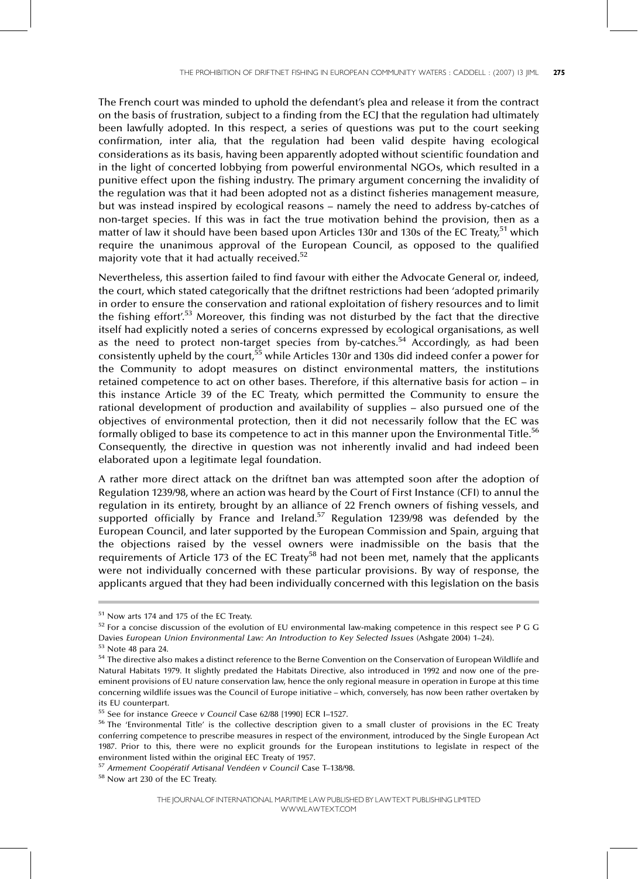The French court was minded to uphold the defendant's plea and release it from the contract on the basis of frustration, subject to a finding from the ECJ that the regulation had ultimately been lawfully adopted. In this respect, a series of questions was put to the court seeking confirmation, inter alia, that the regulation had been valid despite having ecological considerations as its basis, having been apparently adopted without scientific foundation and in the light of concerted lobbying from powerful environmental NGOs, which resulted in a punitive effect upon the fishing industry. The primary argument concerning the invalidity of the regulation was that it had been adopted not as a distinct fisheries management measure, but was instead inspired by ecological reasons – namely the need to address by-catches of non-target species. If this was in fact the true motivation behind the provision, then as a matter of law it should have been based upon Articles 130r and 130s of the EC Treaty,<sup>51</sup> which require the unanimous approval of the European Council, as opposed to the qualified majority vote that it had actually received.<sup>52</sup>

Nevertheless, this assertion failed to find favour with either the Advocate General or, indeed, the court, which stated categorically that the driftnet restrictions had been 'adopted primarily in order to ensure the conservation and rational exploitation of fishery resources and to limit the fishing effort'.<sup>53</sup> Moreover, this finding was not disturbed by the fact that the directive itself had explicitly noted a series of concerns expressed by ecological organisations, as well as the need to protect non-target species from by-catches.<sup>54</sup> Accordingly, as had been consistently upheld by the court,<sup>55</sup> while Articles 130r and 130s did indeed confer a power for the Community to adopt measures on distinct environmental matters, the institutions retained competence to act on other bases. Therefore, if this alternative basis for action - in this instance Article 39 of the EC Treaty, which permitted the Community to ensure the rational development of production and availability of supplies – also pursued one of the objectives of environmental protection, then it did not necessarily follow that the EC was formally obliged to base its competence to act in this manner upon the Environmental Title.<sup>56</sup> Consequently, the directive in question was not inherently invalid and had indeed been elaborated upon a legitimate legal foundation.

A rather more direct attack on the driftnet ban was attempted soon after the adoption of Regulation 1239/98, where an action was heard by the Court of First Instance (CFI) to annul the regulation in its entirety, brought by an alliance of 22 French owners of fishing vessels, and supported officially by France and Ireland.<sup>57</sup> Regulation 1239/98 was defended by the European Council, and later supported by the European Commission and Spain, arguing that the objections raised by the vessel owners were inadmissible on the basis that the requirements of Article 173 of the EC Treaty<sup>58</sup> had not been met, namely that the applicants were not individually concerned with these particular provisions. By way of response, the applicants argued that they had been individually concerned with this legislation on the basis

<sup>51</sup> Now arts 174 and 175 of the EC Treaty.

<sup>52</sup> For a concise discussion of the evolution of EU environmental law-making competence in this respect see P G G Davies European Union Environmental Law: An Introduction to Key Selected Issues (Ashgate 2004) 1-24).

<sup>53</sup> Note 48 para 24.

<sup>&</sup>lt;sup>54</sup> The directive also makes a distinct reference to the Berne Convention on the Conservation of European Wildlife and Natural Habitats 1979. It slightly predated the Habitats Directive, also introduced in 1992 and now one of the preeminent provisions of EU nature conservation law, hence the only regional measure in operation in Europe at this time concerning wildlife issues was the Council of Europe initiative - which, conversely, has now been rather overtaken by its EU counterpart.

 $55$  See for instance Greece v Council Case 62/88 [1990] ECR I-1527.

<sup>&</sup>lt;sup>56</sup> The 'Environmental Title' is the collective description given to a small cluster of provisions in the EC Treaty conferring competence to prescribe measures in respect of the environment, introduced by the Single European Act 1987. Prior to this, there were no explicit grounds for the European institutions to legislate in respect of the environment listed within the original EEC Treaty of 1957.

<sup>57</sup> Armement Coopératif Artisanal Vendéen v Council Case T-138/98.

<sup>58</sup> Now art 230 of the EC Treaty.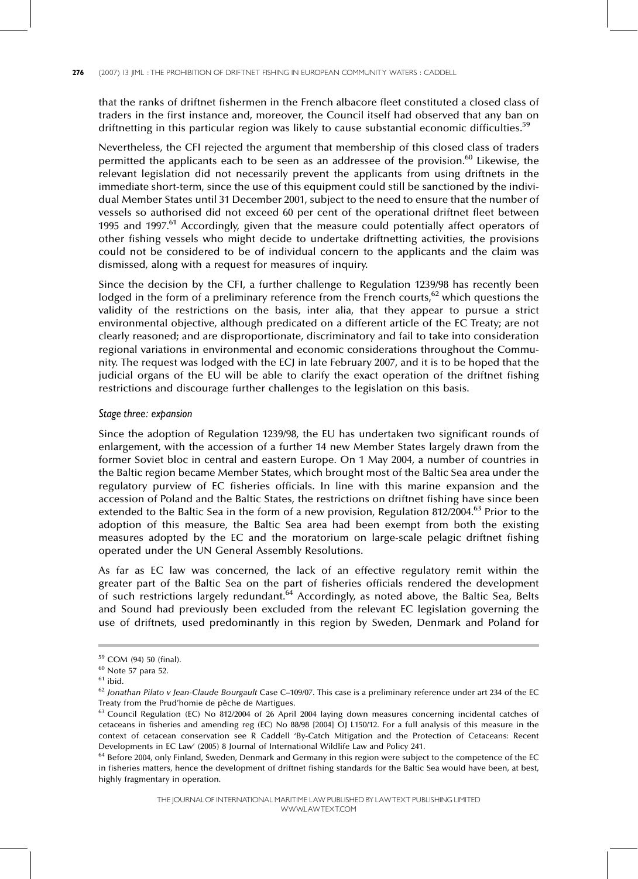that the ranks of driftnet fishermen in the French albacore fleet constituted a closed class of traders in the first instance and, moreover, the Council itself had observed that any ban on driftnetting in this particular region was likely to cause substantial economic difficulties.<sup>59</sup>

Nevertheless, the CFI rejected the argument that membership of this closed class of traders permitted the applicants each to be seen as an addressee of the provision.<sup>60</sup> Likewise, the relevant legislation did not necessarily prevent the applicants from using driftnets in the immediate short-term, since the use of this equipment could still be sanctioned by the individual Member States until 31 December 2001, subject to the need to ensure that the number of vessels so authorised did not exceed 60 per cent of the operational driftnet fleet between 1995 and 1997.<sup>61</sup> Accordingly, given that the measure could potentially affect operators of other fishing vessels who might decide to undertake driftnetting activities, the provisions could not be considered to be of individual concern to the applicants and the claim was dismissed, along with a request for measures of inquiry.

Since the decision by the CFI, a further challenge to Regulation 1239/98 has recently been lodged in the form of a preliminary reference from the French courts,<sup>62</sup> which questions the validity of the restrictions on the basis, inter alia, that they appear to pursue a strict environmental objective, although predicated on a different article of the EC Treaty; are not clearly reasoned; and are disproportionate, discriminatory and fail to take into consideration regional variations in environmental and economic considerations throughout the Community. The request was lodged with the ECJ in late February 2007, and it is to be hoped that the judicial organs of the EU will be able to clarify the exact operation of the driftnet fishing restrictions and discourage further challenges to the legislation on this basis.

## Stage three: expansion

Since the adoption of Regulation 1239/98, the EU has undertaken two significant rounds of enlargement, with the accession of a further 14 new Member States largely drawn from the former Soviet bloc in central and eastern Europe. On 1 May 2004, a number of countries in the Baltic region became Member States, which brought most of the Baltic Sea area under the regulatory purview of EC fisheries officials. In line with this marine expansion and the accession of Poland and the Baltic States, the restrictions on driftnet fishing have since been extended to the Baltic Sea in the form of a new provision, Regulation 812/2004.<sup>63</sup> Prior to the adoption of this measure, the Baltic Sea area had been exempt from both the existing measures adopted by the EC and the moratorium on large-scale pelagic driftnet fishing operated under the UN General Assembly Resolutions.

As far as EC law was concerned, the lack of an effective regulatory remit within the greater part of the Baltic Sea on the part of fisheries officials rendered the development of such restrictions largely redundant.<sup>64</sup> Accordingly, as noted above, the Baltic Sea, Belts and Sound had previously been excluded from the relevant EC legislation governing the use of driftnets, used predominantly in this region by Sweden, Denmark and Poland for

<sup>59</sup> COM (94) 50 (final).

 $^{60}$  Note 57 para 52.

 $61$  ibid.

 $62$  Jonathan Pilato v Jean-Claude Bourgault Case C-109/07. This case is a preliminary reference under art 234 of the EC Treaty from the Prud'homie de pêche de Martigues.

<sup>63</sup> Council Regulation (EC) No 812/2004 of 26 April 2004 laying down measures concerning incidental catches of cetaceans in fisheries and amending reg (EC) No 88/98 [2004] OJ L150/12. For a full analysis of this measure in the context of cetacean conservation see R Caddell `By-Catch Mitigation and the Protection of Cetaceans: Recent Developments in EC Law' (2005) 8 Journal of International Wildlife Law and Policy 241.

<sup>&</sup>lt;sup>64</sup> Before 2004, only Finland, Sweden, Denmark and Germany in this region were subject to the competence of the EC in fisheries matters, hence the development of driftnet fishing standards for the Baltic Sea would have been, at best, highly fragmentary in operation.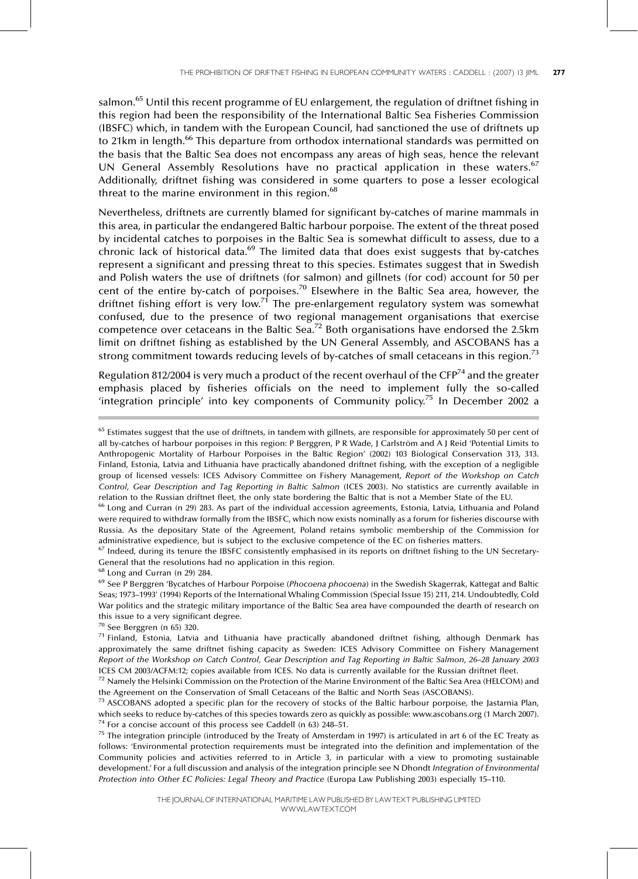salmon.<sup>65</sup> Until this recent programme of EU enlargement, the regulation of driftnet fishing in this region had been the responsibility of the International Baltic Sea Fisheries Commission (IBSFC) which, in tandem with the European Council, had sanctioned the use of driftnets up to 21km in length.<sup>66</sup> This departure from orthodox international standards was permitted on the basis that the Baltic Sea does not encompass any areas of high seas, hence the relevant UN General Assembly Resolutions have no practical application in these waters.<sup>67</sup> Additionally, driftnet fishing was considered in some quarters to pose a lesser ecological threat to the marine environment in this region. $68$ 

Nevertheless, driftnets are currently blamed for significant by-catches of marine mammals in this area, in particular the endangered Baltic harbour porpoise. The extent of the threat posed by incidental catches to porpoises in the Baltic Sea is somewhat difficult to assess, due to a chronic lack of historical data.<sup>69</sup> The limited data that does exist suggests that by-catches represent a significant and pressing threat to this species. Estimates suggest that in Swedish and Polish waters the use of driftnets (for salmon) and gillnets (for cod) account for 50 per cent of the entire by-catch of porpoises.<sup>70</sup> Elsewhere in the Baltic Sea area, however, the driftnet fishing effort is very low.<sup>71</sup> The pre-enlargement regulatory system was somewhat confused, due to the presence of two regional management organisations that exercise competence over cetaceans in the Baltic Sea.<sup>72</sup> Both organisations have endorsed the 2.5km limit on driftnet fishing as established by the UN General Assembly, and ASCOBANS has a strong commitment towards reducing levels of by-catches of small cetaceans in this region.<sup>73</sup>

Regulation 812/2004 is very much a product of the recent overhaul of the  $CFP^{74}$  and the greater emphasis placed by fisheries officials on the need to implement fully the so-called 'integration principle' into key components of Community policy.<sup>75</sup> In December 2002 a

 $67$  Indeed, during its tenure the IBSFC consistently emphasised in its reports on driftnet fishing to the UN Secretary-General that the resolutions had no application in this region.

<sup>68</sup> Long and Curran (n 29) 284.

<sup>70</sup> See Berggren (n 65) 320.

 $65$  Estimates suggest that the use of driftnets, in tandem with gillnets, are responsible for approximately 50 per cent of all by-catches of harbour porpoises in this region: P Berggren, P R Wade, J Carlström and A J Reid 'Potential Limits to Anthropogenic Mortality of Harbour Porpoises in the Baltic Region' (2002) 103 Biological Conservation 313, 313. Finland, Estonia, Latvia and Lithuania have practically abandoned driftnet fishing, with the exception of a negligible group of licensed vessels: ICES Advisory Committee on Fishery Management, Report of the Workshop on Catch Control, Gear Description and Tag Reporting in Baltic Salmon (ICES 2003). No statistics are currently available in relation to the Russian driftnet fleet, the only state bordering the Baltic that is not a Member State of the EU.

<sup>&</sup>lt;sup>66</sup> Long and Curran (n 29) 283. As part of the individual accession agreements, Estonia, Latvia, Lithuania and Poland were required to withdraw formally from the IBSFC, which now exists nominally as a forum for fisheries discourse with Russia. As the depositary State of the Agreement, Poland retains symbolic membership of the Commission for administrative expedience, but is subject to the exclusive competence of the EC on fisheries matters.

<sup>&</sup>lt;sup>69</sup> See P Berggren 'Bycatches of Harbour Porpoise (Phocoena phocoena) in the Swedish Skagerrak, Kattegat and Baltic Seas; 1973-1993' (1994) Reports of the International Whaling Commission (Special Issue 15) 211, 214. Undoubtedly, Cold War politics and the strategic military importance of the Baltic Sea area have compounded the dearth of research on this issue to a very significant degree.

<sup>71</sup> Finland, Estonia, Latvia and Lithuania have practically abandoned driftnet fishing, although Denmark has approximately the same driftnet fishing capacity as Sweden: ICES Advisory Committee on Fishery Management Report of the Workshop on Catch Control, Gear Description and Tag Reporting in Baltic Salmon, 26-28 January 2003 ICES CM 2003/ACFM:12; copies available from ICES. No data is currently available for the Russian driftnet fleet.

 $72$  Namely the Helsinki Commission on the Protection of the Marine Environment of the Baltic Sea Area (HELCOM) and the Agreement on the Conservation of Small Cetaceans of the Baltic and North Seas (ASCOBANS).

 $<sup>73</sup>$  ASCOBANS adopted a specific plan for the recovery of stocks of the Baltic harbour porpoise, the Jastarnia Plan,</sup> which seeks to reduce by-catches of this species towards zero as quickly as possible: www.ascobans.org (1 March 2007).  $74$  For a concise account of this process see Caddell (n 63) 248-51.

 $75$  The integration principle (introduced by the Treaty of Amsterdam in 1997) is articulated in art 6 of the EC Treaty as follows: 'Environmental protection requirements must be integrated into the definition and implementation of the Community policies and activities referred to in Article 3, in particular with a view to promoting sustainable development.' For a full discussion and analysis of the integration principle see N Dhondt Integration of Environmental Protection into Other EC Policies: Legal Theory and Practice (Europa Law Publishing 2003) especially 15-110.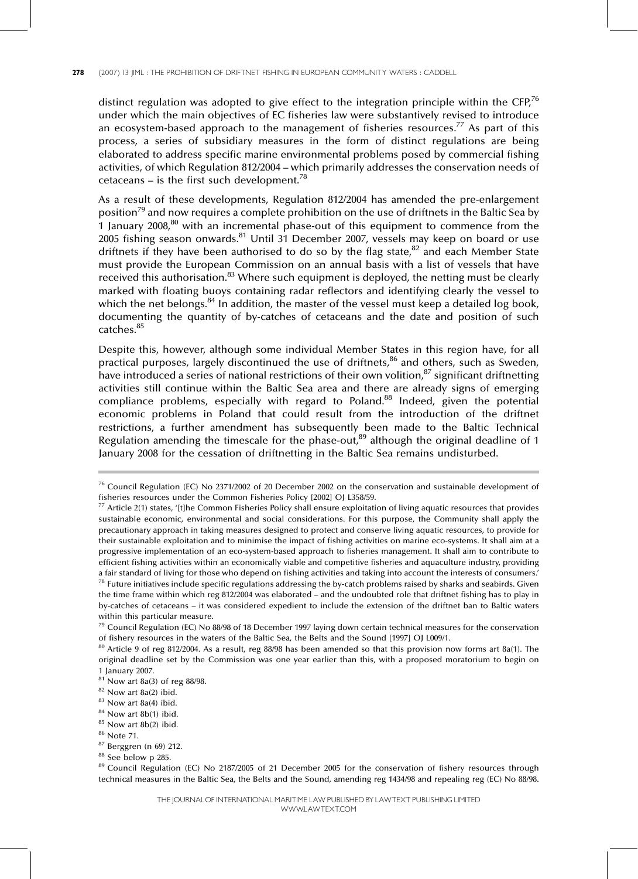distinct regulation was adopted to give effect to the integration principle within the CFP,<sup>76</sup> under which the main objectives of EC fisheries law were substantively revised to introduce an ecosystem-based approach to the management of fisheries resources.<sup>77</sup> As part of this process, a series of subsidiary measures in the form of distinct regulations are being elaborated to address specific marine environmental problems posed by commercial fishing activities, of which Regulation 812/2004 - which primarily addresses the conservation needs of cetaceans  $-$  is the first such development.<sup>78</sup>

As a result of these developments, Regulation 812/2004 has amended the pre-enlargement position<sup>79</sup> and now requires a complete prohibition on the use of driftnets in the Baltic Sea by 1 January  $2008<sup>80</sup>$  with an incremental phase-out of this equipment to commence from the 2005 fishing season onwards.<sup>81</sup> Until 31 December 2007, vessels may keep on board or use driftnets if they have been authorised to do so by the flag state, $82$  and each Member State must provide the European Commission on an annual basis with a list of vessels that have received this authorisation. $83$  Where such equipment is deployed, the netting must be clearly marked with floating buoys containing radar reflectors and identifying clearly the vessel to which the net belongs.<sup>84</sup> In addition, the master of the vessel must keep a detailed log book, documenting the quantity of by-catches of cetaceans and the date and position of such catches.<sup>85</sup>

Despite this, however, although some individual Member States in this region have, for all practical purposes, largely discontinued the use of driftnets,<sup>86</sup> and others, such as Sweden, have introduced a series of national restrictions of their own volition,<sup>87</sup> significant driftnetting activities still continue within the Baltic Sea area and there are already signs of emerging compliance problems, especially with regard to Poland. $88$  Indeed, given the potential economic problems in Poland that could result from the introduction of the driftnet restrictions, a further amendment has subsequently been made to the Baltic Technical Regulation amending the timescale for the phase-out, $89$  although the original deadline of 1 January 2008 for the cessation of driftnetting in the Baltic Sea remains undisturbed.

 $76$  Council Regulation (EC) No 2371/2002 of 20 December 2002 on the conservation and sustainable development of fisheries resources under the Common Fisheries Policy [2002] OJ L358/59.

 $77$  Article 2(1) states, '[t]he Common Fisheries Policy shall ensure exploitation of living aquatic resources that provides sustainable economic, environmental and social considerations. For this purpose, the Community shall apply the precautionary approach in taking measures designed to protect and conserve living aquatic resources, to provide for their sustainable exploitation and to minimise the impact of fishing activities on marine eco-systems. It shall aim at a progressive implementation of an eco-system-based approach to fisheries management. It shall aim to contribute to efficient fishing activities within an economically viable and competitive fisheries and aquaculture industry, providing a fair standard of living for those who depend on fishing activities and taking into account the interests of consumers.'  $78$  Future initiatives include specific regulations addressing the by-catch problems raised by sharks and seabirds. Given the time frame within which reg 812/2004 was elaborated – and the undoubted role that driftnet fishing has to play in by-catches of cetaceans - it was considered expedient to include the extension of the driftnet ban to Baltic waters within this particular measure.

 $^{79}$  Council Regulation (EC) No 88/98 of 18 December 1997 laying down certain technical measures for the conservation of fishery resources in the waters of the Baltic Sea, the Belts and the Sound [1997] OJ L009/1.

 $80$  Article 9 of reg 812/2004. As a result, reg 88/98 has been amended so that this provision now forms art 8a(1). The original deadline set by the Commission was one year earlier than this, with a proposed moratorium to begin on 1 January 2007.

<sup>81</sup> Now art 8a(3) of reg 88/98.

 $82$  Now art  $8a(2)$  ibid.

 $83$  Now art  $8a(4)$  ibid.

<sup>&</sup>lt;sup>84</sup> Now art 8b(1) ibid.

<sup>&</sup>lt;sup>85</sup> Now art 8b(2) ibid.

<sup>86</sup> Note 71.

<sup>87</sup> Berggren (n 69) 212.

<sup>&</sup>lt;sup>88</sup> See below p 285.

<sup>&</sup>lt;sup>89</sup> Council Regulation (EC) No 2187/2005 of 21 December 2005 for the conservation of fishery resources through technical measures in the Baltic Sea, the Belts and the Sound, amending reg 1434/98 and repealing reg (EC) No 88/98.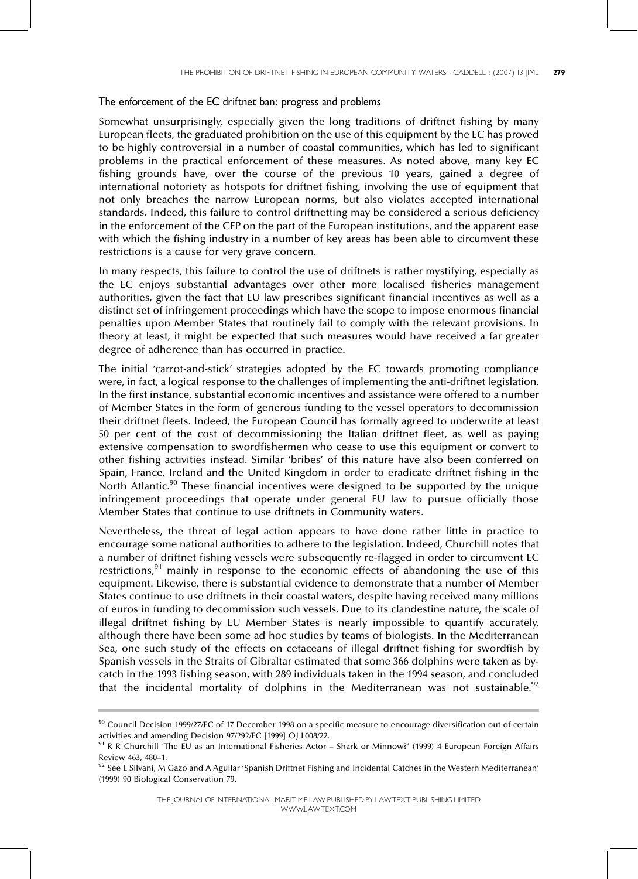## The enforcement of the EC driftnet ban: progress and problems

Somewhat unsurprisingly, especially given the long traditions of driftnet fishing by many European fleets, the graduated prohibition on the use of this equipment by the EC has proved to be highly controversial in a number of coastal communities, which has led to significant problems in the practical enforcement of these measures. As noted above, many key EC fishing grounds have, over the course of the previous 10 years, gained a degree of international notoriety as hotspots for driftnet fishing, involving the use of equipment that not only breaches the narrow European norms, but also violates accepted international standards. Indeed, this failure to control driftnetting may be considered a serious deficiency in the enforcement of the CFP on the part of the European institutions, and the apparent ease with which the fishing industry in a number of key areas has been able to circumvent these restrictions is a cause for very grave concern.

In many respects, this failure to control the use of driftnets is rather mystifying, especially as the EC enjoys substantial advantages over other more localised fisheries management authorities, given the fact that EU law prescribes significant financial incentives as well as a distinct set of infringement proceedings which have the scope to impose enormous financial penalties upon Member States that routinely fail to comply with the relevant provisions. In theory at least, it might be expected that such measures would have received a far greater degree of adherence than has occurred in practice.

The initial 'carrot-and-stick' strategies adopted by the EC towards promoting compliance were, in fact, a logical response to the challenges of implementing the anti-driftnet legislation. In the first instance, substantial economic incentives and assistance were offered to a number of Member States in the form of generous funding to the vessel operators to decommission their driftnet fleets. Indeed, the European Council has formally agreed to underwrite at least 50 per cent of the cost of decommissioning the Italian driftnet fleet, as well as paying extensive compensation to swordfishermen who cease to use this equipment or convert to other fishing activities instead. Similar `bribes' of this nature have also been conferred on Spain, France, Ireland and the United Kingdom in order to eradicate driftnet fishing in the North Atlantic.<sup>90</sup> These financial incentives were designed to be supported by the unique infringement proceedings that operate under general EU law to pursue officially those Member States that continue to use driftnets in Community waters.

Nevertheless, the threat of legal action appears to have done rather little in practice to encourage some national authorities to adhere to the legislation. Indeed, Churchill notes that a number of driftnet fishing vessels were subsequently re-flagged in order to circumvent EC restrictions, $91$  mainly in response to the economic effects of abandoning the use of this equipment. Likewise, there is substantial evidence to demonstrate that a number of Member States continue to use driftnets in their coastal waters, despite having received many millions of euros in funding to decommission such vessels. Due to its clandestine nature, the scale of illegal driftnet fishing by EU Member States is nearly impossible to quantify accurately, although there have been some ad hoc studies by teams of biologists. In the Mediterranean Sea, one such study of the effects on cetaceans of illegal driftnet fishing for swordfish by Spanish vessels in the Straits of Gibraltar estimated that some 366 dolphins were taken as bycatch in the 1993 fishing season, with 289 individuals taken in the 1994 season, and concluded that the incidental mortality of dolphins in the Mediterranean was not sustainable.<sup>92</sup>

 $90$  Council Decision 1999/27/EC of 17 December 1998 on a specific measure to encourage diversification out of certain activities and amending Decision 97/292/EC [1999] OJ L008/22.

<sup>&</sup>lt;sup>91</sup> R R Churchill 'The EU as an International Fisheries Actor  $-$  Shark or Minnow?' (1999) 4 European Foreign Affairs Review 463, 480-1.

 $92$  See L Silvani, M Gazo and A Aguilar 'Spanish Driftnet Fishing and Incidental Catches in the Western Mediterranean' (1999) 90 Biological Conservation 79.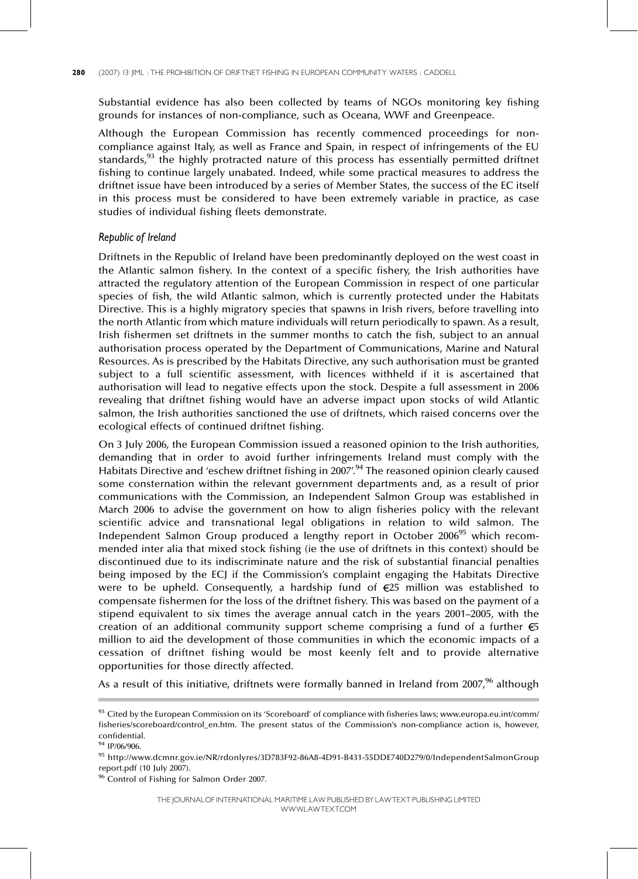Substantial evidence has also been collected by teams of NGOs monitoring key fishing grounds for instances of non-compliance, such as Oceana, WWF and Greenpeace.

Although the European Commission has recently commenced proceedings for noncompliance against Italy, as well as France and Spain, in respect of infringements of the EU standards,<sup>93</sup> the highly protracted nature of this process has essentially permitted driftnet fishing to continue largely unabated. Indeed, while some practical measures to address the driftnet issue have been introduced by a series of Member States, the success of the EC itself in this process must be considered to have been extremely variable in practice, as case studies of individual fishing fleets demonstrate.

## Republic of Ireland

Driftnets in the Republic of Ireland have been predominantly deployed on the west coast in the Atlantic salmon fishery. In the context of a specific fishery, the Irish authorities have attracted the regulatory attention of the European Commission in respect of one particular species of fish, the wild Atlantic salmon, which is currently protected under the Habitats Directive. This is a highly migratory species that spawns in Irish rivers, before travelling into the north Atlantic from which mature individuals will return periodically to spawn. As a result, Irish fishermen set driftnets in the summer months to catch the fish, subject to an annual authorisation process operated by the Department of Communications, Marine and Natural Resources. As is prescribed by the Habitats Directive, any such authorisation must be granted subject to a full scientific assessment, with licences withheld if it is ascertained that authorisation will lead to negative effects upon the stock. Despite a full assessment in 2006 revealing that driftnet fishing would have an adverse impact upon stocks of wild Atlantic salmon, the Irish authorities sanctioned the use of driftnets, which raised concerns over the ecological effects of continued driftnet fishing.

On 3 July 2006, the European Commission issued a reasoned opinion to the Irish authorities, demanding that in order to avoid further infringements Ireland must comply with the Habitats Directive and 'eschew driftnet fishing in 2007'.<sup>94</sup> The reasoned opinion clearly caused some consternation within the relevant government departments and, as a result of prior communications with the Commission, an Independent Salmon Group was established in March 2006 to advise the government on how to align fisheries policy with the relevant scientific advice and transnational legal obligations in relation to wild salmon. The Independent Salmon Group produced a lengthy report in October 2006<sup>95</sup> which recommended inter alia that mixed stock fishing (ie the use of driftnets in this context) should be discontinued due to its indiscriminate nature and the risk of substantial financial penalties being imposed by the ECJ if the Commission's complaint engaging the Habitats Directive were to be upheld. Consequently, a hardship fund of  $E$ 25 million was established to compensate fishermen for the loss of the driftnet fishery. This was based on the payment of a stipend equivalent to six times the average annual catch in the years 2001–2005, with the creation of an additional community support scheme comprising a fund of a further  $\epsilon$ 5 million to aid the development of those communities in which the economic impacts of a cessation of driftnet fishing would be most keenly felt and to provide alternative opportunities for those directly affected.

As a result of this initiative, driftnets were formally banned in Ireland from  $2007<sup>96</sup>$  although

<sup>93</sup> Cited by the European Commission on its 'Scoreboard' of compliance with fisheries laws; www.europa.eu.int/comm/ fisheries/scoreboard/control\_en.htm. The present status of the Commission's non-compliance action is, however, confidential.

<sup>94</sup> IP/06/906.

<sup>95</sup> http://www.dcmnr.gov.ie/NR/rdonlyres/3D783F92-86A8-4D91-B431-55DDE740D279/0/IndependentSalmonGroup report.pdf (10 July 2007).

<sup>&</sup>lt;sup>96</sup> Control of Fishing for Salmon Order 2007.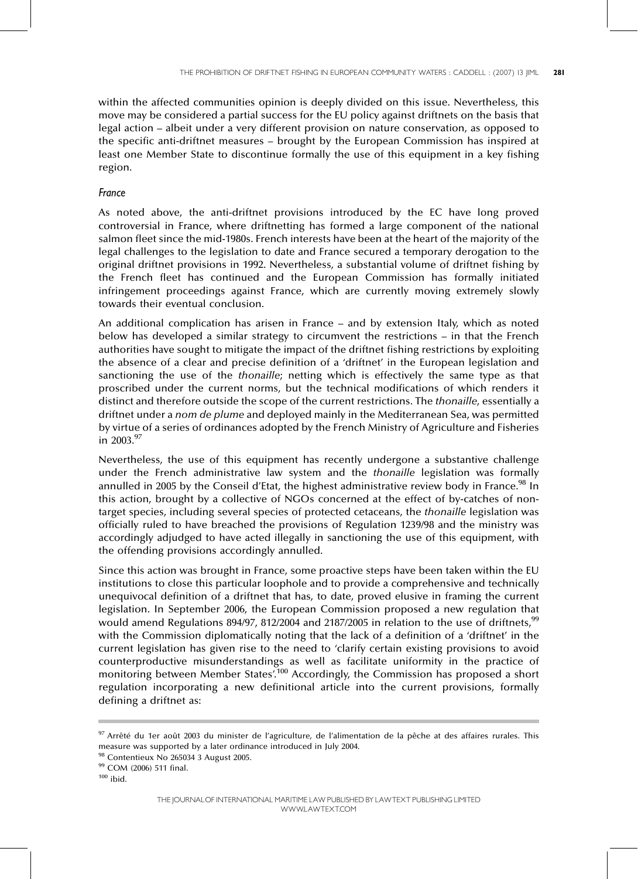within the affected communities opinion is deeply divided on this issue. Nevertheless, this move may be considered a partial success for the EU policy against driftnets on the basis that legal action – albeit under a very different provision on nature conservation, as opposed to the specific anti-driftnet measures - brought by the European Commission has inspired at least one Member State to discontinue formally the use of this equipment in a key fishing region.

# France

As noted above, the anti-driftnet provisions introduced by the EC have long proved controversial in France, where driftnetting has formed a large component of the national salmon fleet since the mid-1980s. French interests have been at the heart of the majority of the legal challenges to the legislation to date and France secured a temporary derogation to the original driftnet provisions in 1992. Nevertheless, a substantial volume of driftnet fishing by the French fleet has continued and the European Commission has formally initiated infringement proceedings against France, which are currently moving extremely slowly towards their eventual conclusion.

An additional complication has arisen in France  $-$  and by extension Italy, which as noted below has developed a similar strategy to circumvent the restrictions  $-$  in that the French authorities have sought to mitigate the impact of the driftnet fishing restrictions by exploiting the absence of a clear and precise definition of a 'driftnet' in the European legislation and sanctioning the use of the thonaille; netting which is effectively the same type as that proscribed under the current norms, but the technical modifications of which renders it distinct and therefore outside the scope of the current restrictions. The thonaille, essentially a driftnet under a nom de plume and deployed mainly in the Mediterranean Sea, was permitted by virtue of a series of ordinances adopted by the French Ministry of Agriculture and Fisheries in  $2003.^{97}$ 

Nevertheless, the use of this equipment has recently undergone a substantive challenge under the French administrative law system and the thonaille legislation was formally annulled in 2005 by the Conseil d'Etat, the highest administrative review body in France.<sup>98</sup> In this action, brought by a collective of NGOs concerned at the effect of by-catches of nontarget species, including several species of protected cetaceans, the thonaille legislation was officially ruled to have breached the provisions of Regulation 1239/98 and the ministry was accordingly adjudged to have acted illegally in sanctioning the use of this equipment, with the offending provisions accordingly annulled.

Since this action was brought in France, some proactive steps have been taken within the EU institutions to close this particular loophole and to provide a comprehensive and technically unequivocal definition of a driftnet that has, to date, proved elusive in framing the current legislation. In September 2006, the European Commission proposed a new regulation that would amend Regulations 894/97, 812/2004 and 2187/2005 in relation to the use of driftnets,<sup>99</sup> with the Commission diplomatically noting that the lack of a definition of a 'driftnet' in the current legislation has given rise to the need to 'clarify certain existing provisions to avoid counterproductive misunderstandings as well as facilitate uniformity in the practice of monitoring between Member States<sup>', 100</sup> Accordingly, the Commission has proposed a short regulation incorporating a new definitional article into the current provisions, formally defining a driftnet as:

<sup>97</sup> Arrêté du 1er août 2003 du minister de l'agriculture, de l'alimentation de la pêche at des affaires rurales. This measure was supported by a later ordinance introduced in July 2004.

<sup>98</sup> Contentieux No 265034 3 August 2005.

<sup>99</sup> COM (2006) 511 final.

 $100$  ibid.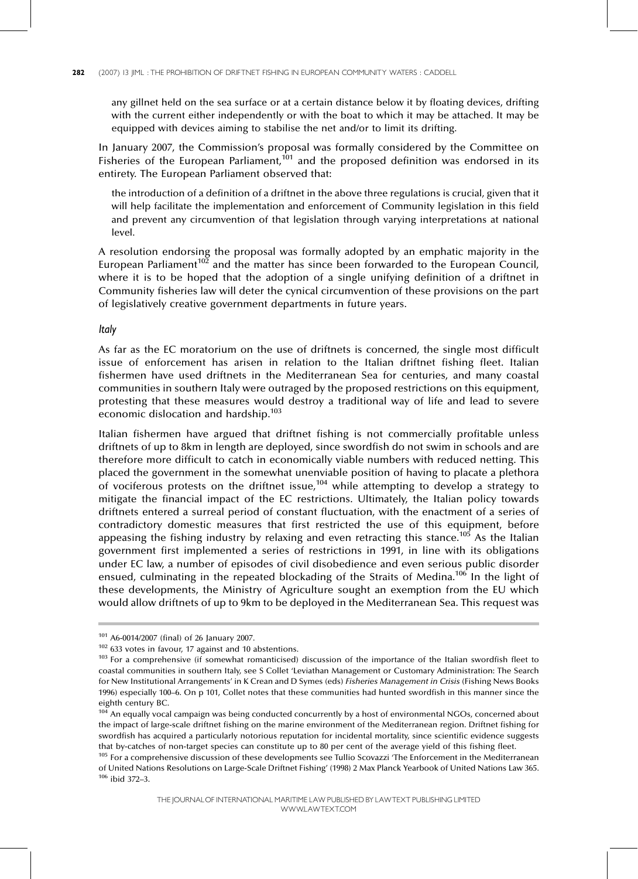any gillnet held on the sea surface or at a certain distance below it by floating devices, drifting with the current either independently or with the boat to which it may be attached. It may be equipped with devices aiming to stabilise the net and/or to limit its drifting.

In January 2007, the Commission's proposal was formally considered by the Committee on Fisheries of the European Parliament,<sup>101</sup> and the proposed definition was endorsed in its entirety. The European Parliament observed that:

the introduction of a definition of a driftnet in the above three regulations is crucial, given that it will help facilitate the implementation and enforcement of Community legislation in this field and prevent any circumvention of that legislation through varying interpretations at national level.

A resolution endorsing the proposal was formally adopted by an emphatic majority in the European Parliament<sup>102</sup> and the matter has since been forwarded to the European Council, where it is to be hoped that the adoption of a single unifying definition of a driftnet in Community fisheries law will deter the cynical circumvention of these provisions on the part of legislatively creative government departments in future years.

## Italy

As far as the EC moratorium on the use of driftnets is concerned, the single most difficult issue of enforcement has arisen in relation to the Italian driftnet fishing fleet. Italian fishermen have used driftnets in the Mediterranean Sea for centuries, and many coastal communities in southern Italy were outraged by the proposed restrictions on this equipment, protesting that these measures would destroy a traditional way of life and lead to severe economic dislocation and hardship.<sup>103</sup>

Italian fishermen have argued that driftnet fishing is not commercially profitable unless driftnets of up to 8km in length are deployed, since swordfish do not swim in schools and are therefore more difficult to catch in economically viable numbers with reduced netting. This placed the government in the somewhat unenviable position of having to placate a plethora of vociferous protests on the driftnet issue,<sup>104</sup> while attempting to develop a strategy to mitigate the financial impact of the EC restrictions. Ultimately, the Italian policy towards driftnets entered a surreal period of constant fluctuation, with the enactment of a series of contradictory domestic measures that first restricted the use of this equipment, before appeasing the fishing industry by relaxing and even retracting this stance.<sup>105</sup> As the Italian government first implemented a series of restrictions in 1991, in line with its obligations under EC law, a number of episodes of civil disobedience and even serious public disorder ensued, culminating in the repeated blockading of the Straits of Medina.<sup>106</sup> In the light of these developments, the Ministry of Agriculture sought an exemption from the EU which would allow driftnets of up to 9km to be deployed in the Mediterranean Sea. This request was

<sup>101</sup> A6-0014/2007 (final) of 26 January 2007.

 $102$  633 votes in favour, 17 against and 10 abstentions.

<sup>&</sup>lt;sup>103</sup> For a comprehensive (if somewhat romanticised) discussion of the importance of the Italian swordfish fleet to coastal communities in southern Italy, see S Collet `Leviathan Management or Customary Administration: The Search for New Institutional Arrangements' in K Crean and D Symes (eds) Fisheries Management in Crisis (Fishing News Books 1996) especially 100-6. On p 101, Collet notes that these communities had hunted swordfish in this manner since the eighth century BC.

 $104$  An equally vocal campaign was being conducted concurrently by a host of environmental NGOs, concerned about the impact of large-scale driftnet fishing on the marine environment of the Mediterranean region. Driftnet fishing for swordfish has acquired a particularly notorious reputation for incidental mortality, since scientific evidence suggests that by-catches of non-target species can constitute up to 80 per cent of the average yield of this fishing fleet.

<sup>&</sup>lt;sup>105</sup> For a comprehensive discussion of these developments see Tullio Scovazzi 'The Enforcement in the Mediterranean of United Nations Resolutions on Large-Scale Driftnet Fishing' (1998) 2 Max Planck Yearbook of United Nations Law 365.  $106$  ibid 372-3.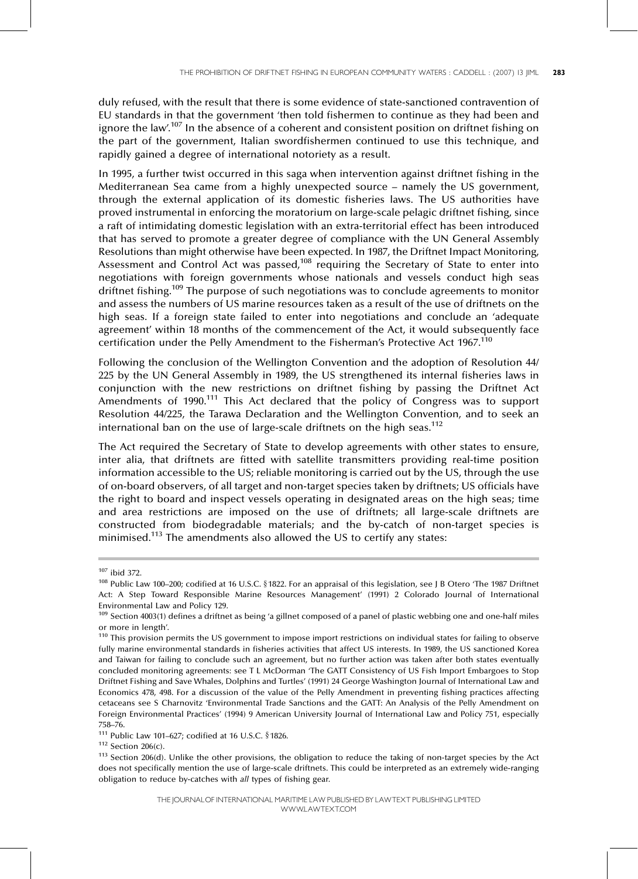duly refused, with the result that there is some evidence of state-sanctioned contravention of EU standards in that the government 'then told fishermen to continue as they had been and ignore the law'.<sup>107</sup> In the absence of a coherent and consistent position on driftnet fishing on the part of the government, Italian swordfishermen continued to use this technique, and rapidly gained a degree of international notoriety as a result.

In 1995, a further twist occurred in this saga when intervention against driftnet fishing in the Mediterranean Sea came from a highly unexpected source - namely the US government, through the external application of its domestic fisheries laws. The US authorities have proved instrumental in enforcing the moratorium on large-scale pelagic driftnet fishing, since a raft of intimidating domestic legislation with an extra-territorial effect has been introduced that has served to promote a greater degree of compliance with the UN General Assembly Resolutions than might otherwise have been expected. In 1987, the Driftnet Impact Monitoring, Assessment and Control Act was passed,<sup>108</sup> requiring the Secretary of State to enter into negotiations with foreign governments whose nationals and vessels conduct high seas driftnet fishing.<sup>109</sup> The purpose of such negotiations was to conclude agreements to monitor and assess the numbers of US marine resources taken as a result of the use of driftnets on the high seas. If a foreign state failed to enter into negotiations and conclude an 'adequate agreement' within 18 months of the commencement of the Act, it would subsequently face certification under the Pelly Amendment to the Fisherman's Protective Act 1967.<sup>110</sup>

Following the conclusion of the Wellington Convention and the adoption of Resolution 44/ 225 by the UN General Assembly in 1989, the US strengthened its internal fisheries laws in conjunction with the new restrictions on driftnet fishing by passing the Driftnet Act Amendments of 1990.111 This Act declared that the policy of Congress was to support Resolution 44/225, the Tarawa Declaration and the Wellington Convention, and to seek an international ban on the use of large-scale driftnets on the high seas.<sup>112</sup>

The Act required the Secretary of State to develop agreements with other states to ensure, inter alia, that driftnets are fitted with satellite transmitters providing real-time position information accessible to the US; reliable monitoring is carried out by the US, through the use of on-board observers, of all target and non-target species taken by driftnets; US officials have the right to board and inspect vessels operating in designated areas on the high seas; time and area restrictions are imposed on the use of driftnets; all large-scale driftnets are constructed from biodegradable materials; and the by-catch of non-target species is minimised.113 The amendments also allowed the US to certify any states:

<sup>107</sup> ibid 372.

<sup>108</sup> Public Law 100-200; codified at 16 U.S.C. § 1822. For an appraisal of this legislation, see J B Otero 'The 1987 Driftnet Act: A Step Toward Responsible Marine Resources Management' (1991) 2 Colorado Journal of International Environmental Law and Policy 129.

 $109$  Section 4003(1) defines a driftnet as being 'a gillnet composed of a panel of plastic webbing one and one-half miles or more in length'.

<sup>&</sup>lt;sup>110</sup> This provision permits the US government to impose import restrictions on individual states for failing to observe fully marine environmental standards in fisheries activities that affect US interests. In 1989, the US sanctioned Korea and Taiwan for failing to conclude such an agreement, but no further action was taken after both states eventually concluded monitoring agreements: see T L McDorman 'The GATT Consistency of US Fish Import Embargoes to Stop Driftnet Fishing and Save Whales, Dolphins and Turtles' (1991) 24 George Washington Journal of International Law and Economics 478, 498. For a discussion of the value of the Pelly Amendment in preventing fishing practices affecting cetaceans see S Charnovitz 'Environmental Trade Sanctions and the GATT: An Analysis of the Pelly Amendment on Foreign Environmental Practices' (1994) 9 American University Journal of International Law and Policy 751, especially 758±76.

<sup>111</sup> Public Law 101-627; codified at 16 U.S.C. § 1826.

<sup>112</sup> Section 206(c).

<sup>&</sup>lt;sup>113</sup> Section 206(d). Unlike the other provisions, the obligation to reduce the taking of non-target species by the Act does not specifically mention the use of large-scale driftnets. This could be interpreted as an extremely wide-ranging obligation to reduce by-catches with all types of fishing gear.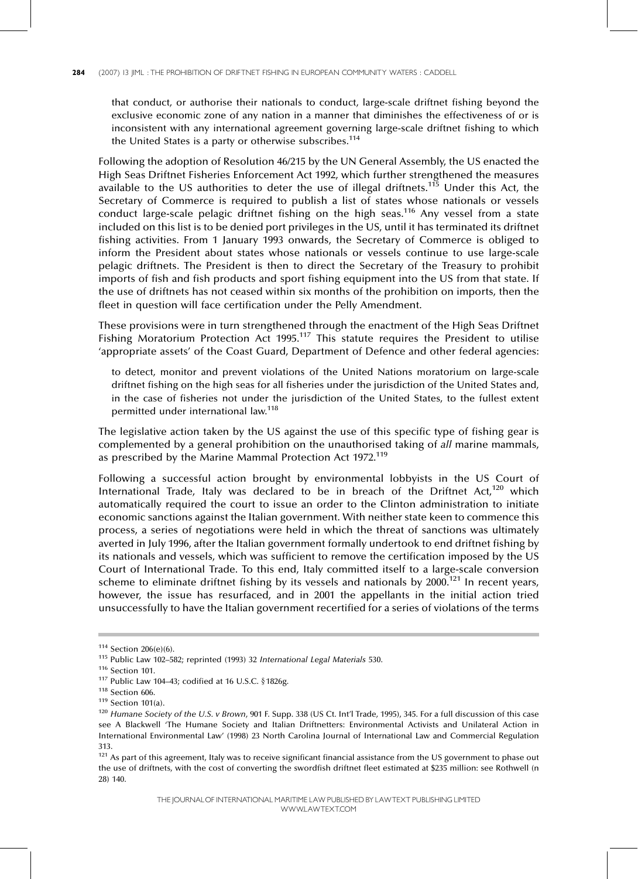that conduct, or authorise their nationals to conduct, large-scale driftnet fishing beyond the exclusive economic zone of any nation in a manner that diminishes the effectiveness of or is inconsistent with any international agreement governing large-scale driftnet fishing to which the United States is a party or otherwise subscribes.<sup>114</sup>

Following the adoption of Resolution 46/215 by the UN General Assembly, the US enacted the High Seas Driftnet Fisheries Enforcement Act 1992, which further strengthened the measures available to the US authorities to deter the use of illegal driftnets.<sup>115</sup> Under this Act, the Secretary of Commerce is required to publish a list of states whose nationals or vessels conduct large-scale pelagic driftnet fishing on the high seas.116 Any vessel from a state included on this list is to be denied port privileges in the US, until it has terminated its driftnet fishing activities. From 1 January 1993 onwards, the Secretary of Commerce is obliged to inform the President about states whose nationals or vessels continue to use large-scale pelagic driftnets. The President is then to direct the Secretary of the Treasury to prohibit imports of fish and fish products and sport fishing equipment into the US from that state. If the use of driftnets has not ceased within six months of the prohibition on imports, then the fleet in question will face certification under the Pelly Amendment.

These provisions were in turn strengthened through the enactment of the High Seas Driftnet Fishing Moratorium Protection Act 1995.<sup>117</sup> This statute requires the President to utilise `appropriate assets' of the Coast Guard, Department of Defence and other federal agencies:

to detect, monitor and prevent violations of the United Nations moratorium on large-scale driftnet fishing on the high seas for all fisheries under the jurisdiction of the United States and, in the case of fisheries not under the jurisdiction of the United States, to the fullest extent permitted under international law. 118

The legislative action taken by the US against the use of this specific type of fishing gear is complemented by a general prohibition on the unauthorised taking of all marine mammals, as prescribed by the Marine Mammal Protection Act 1972.<sup>119</sup>

Following a successful action brought by environmental lobbyists in the US Court of International Trade, Italy was declared to be in breach of the Driftnet Act, $120$  which automatically required the court to issue an order to the Clinton administration to initiate economic sanctions against the Italian government. With neither state keen to commence this process, a series of negotiations were held in which the threat of sanctions was ultimately averted in July 1996, after the Italian government formally undertook to end driftnet fishing by its nationals and vessels, which was sufficient to remove the certification imposed by the US Court of International Trade. To this end, Italy committed itself to a large-scale conversion scheme to eliminate driftnet fishing by its vessels and nationals by  $2000$ .<sup>121</sup> In recent years, however, the issue has resurfaced, and in 2001 the appellants in the initial action tried unsuccessfully to have the Italian government recertified for a series of violations of the terms

<sup>114</sup> Section 206(e)(6).

 $115$  Public Law 102-582; reprinted (1993) 32 International Legal Materials 530.

<sup>116</sup> Section 101.

 $117$  Public Law 104-43; codified at 16 U.S.C. § 1826g.

<sup>118</sup> Section 606.

<sup>119</sup> Section 101(a).

<sup>&</sup>lt;sup>120</sup> Humane Society of the U.S. v Brown, 901 F. Supp. 338 (US Ct. Int'l Trade, 1995), 345. For a full discussion of this case see A Blackwell `The Humane Society and Italian Driftnetters: Environmental Activists and Unilateral Action in International Environmental Law' (1998) 23 North Carolina Journal of International Law and Commercial Regulation 313.

<sup>&</sup>lt;sup>121</sup> As part of this agreement, Italy was to receive significant financial assistance from the US government to phase out the use of driftnets, with the cost of converting the swordfish driftnet fleet estimated at \$235 million: see Rothwell (n 28) 140.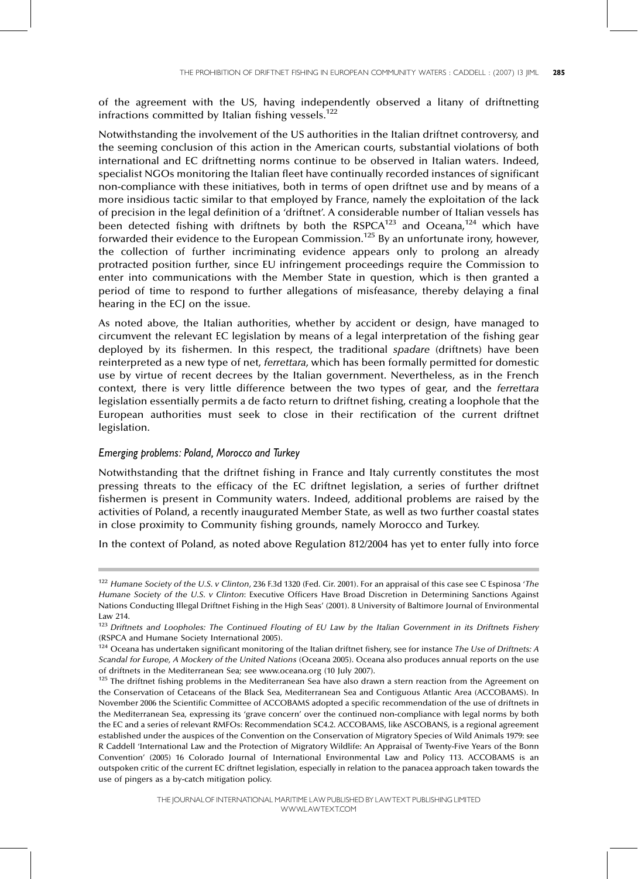of the agreement with the US, having independently observed a litany of driftnetting infractions committed by Italian fishing vessels.<sup>122</sup>

Notwithstanding the involvement of the US authorities in the Italian driftnet controversy, and the seeming conclusion of this action in the American courts, substantial violations of both international and EC driftnetting norms continue to be observed in Italian waters. Indeed, specialist NGOs monitoring the Italian fleet have continually recorded instances of significant non-compliance with these initiatives, both in terms of open driftnet use and by means of a more insidious tactic similar to that employed by France, namely the exploitation of the lack of precision in the legal definition of a 'driftnet'. A considerable number of Italian vessels has been detected fishing with driftnets by both the RSPCA<sup>123</sup> and Oceana,<sup>124</sup> which have forwarded their evidence to the European Commission.<sup>125</sup> By an unfortunate irony, however, the collection of further incriminating evidence appears only to prolong an already protracted position further, since EU infringement proceedings require the Commission to enter into communications with the Member State in question, which is then granted a period of time to respond to further allegations of misfeasance, thereby delaying a final hearing in the ECJ on the issue.

As noted above, the Italian authorities, whether by accident or design, have managed to circumvent the relevant EC legislation by means of a legal interpretation of the fishing gear deployed by its fishermen. In this respect, the traditional spadare (driftnets) have been reinterpreted as a new type of net, ferrettara, which has been formally permitted for domestic use by virtue of recent decrees by the Italian government. Nevertheless, as in the French context, there is very little difference between the two types of gear, and the ferrettara legislation essentially permits a de facto return to driftnet fishing, creating a loophole that the European authorities must seek to close in their rectification of the current driftnet legislation.

# Emerging problems: Poland, Morocco and Turkey

Notwithstanding that the driftnet fishing in France and Italy currently constitutes the most pressing threats to the efficacy of the EC driftnet legislation, a series of further driftnet fishermen is present in Community waters. Indeed, additional problems are raised by the activities of Poland, a recently inaugurated Member State, as well as two further coastal states in close proximity to Community fishing grounds, namely Morocco and Turkey.

In the context of Poland, as noted above Regulation 812/2004 has yet to enter fully into force

<sup>&</sup>lt;sup>122</sup> Humane Society of the U.S. v Clinton, 236 F.3d 1320 (Fed. Cir. 2001). For an appraisal of this case see C Espinosa 'The Humane Society of the U.S. v Clinton: Executive Officers Have Broad Discretion in Determining Sanctions Against Nations Conducting Illegal Driftnet Fishing in the High Seas' (2001). 8 University of Baltimore Journal of Environmental Law 214.

<sup>123</sup> Driftnets and Loopholes: The Continued Flouting of EU Law by the Italian Government in its Driftnets Fishery (RSPCA and Humane Society International 2005).

 $124$  Oceana has undertaken significant monitoring of the Italian driftnet fishery, see for instance The Use of Driftnets: A Scandal for Europe, A Mockery of the United Nations (Oceana 2005). Oceana also produces annual reports on the use of driftnets in the Mediterranean Sea; see www.oceana.org (10 July 2007).

<sup>&</sup>lt;sup>125</sup> The driftnet fishing problems in the Mediterranean Sea have also drawn a stern reaction from the Agreement on the Conservation of Cetaceans of the Black Sea, Mediterranean Sea and Contiguous Atlantic Area (ACCOBAMS). In November 2006 the Scientific Committee of ACCOBAMS adopted a specific recommendation of the use of driftnets in the Mediterranean Sea, expressing its `grave concern' over the continued non-compliance with legal norms by both the EC and a series of relevant RMFOs: Recommendation SC4.2. ACCOBAMS, like ASCOBANS, is a regional agreement established under the auspices of the Convention on the Conservation of Migratory Species of Wild Animals 1979: see R Caddell 'International Law and the Protection of Migratory Wildlife: An Appraisal of Twenty-Five Years of the Bonn Convention' (2005) 16 Colorado Journal of International Environmental Law and Policy 113. ACCOBAMS is an outspoken critic of the current EC driftnet legislation, especially in relation to the panacea approach taken towards the use of pingers as a by-catch mitigation policy.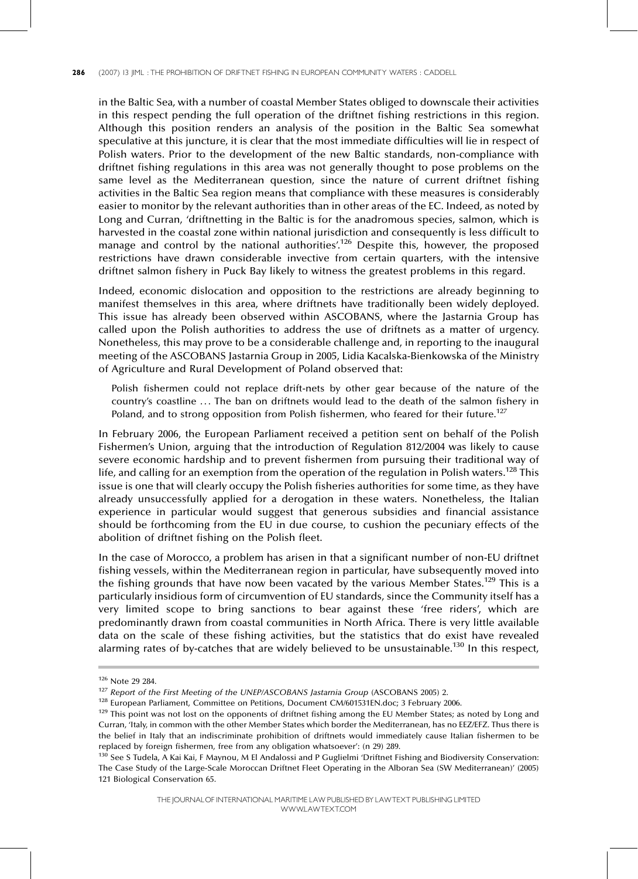in the Baltic Sea, with a number of coastal Member States obliged to downscale their activities in this respect pending the full operation of the driftnet fishing restrictions in this region. Although this position renders an analysis of the position in the Baltic Sea somewhat speculative at this juncture, it is clear that the most immediate difficulties will lie in respect of Polish waters. Prior to the development of the new Baltic standards, non-compliance with driftnet fishing regulations in this area was not generally thought to pose problems on the same level as the Mediterranean question, since the nature of current driftnet fishing activities in the Baltic Sea region means that compliance with these measures is considerably easier to monitor by the relevant authorities than in other areas of the EC. Indeed, as noted by Long and Curran, 'driftnetting in the Baltic is for the anadromous species, salmon, which is harvested in the coastal zone within national jurisdiction and consequently is less difficult to manage and control by the national authorities<sup>'126</sup> Despite this, however, the proposed restrictions have drawn considerable invective from certain quarters, with the intensive driftnet salmon fishery in Puck Bay likely to witness the greatest problems in this regard.

Indeed, economic dislocation and opposition to the restrictions are already beginning to manifest themselves in this area, where driftnets have traditionally been widely deployed. This issue has already been observed within ASCOBANS, where the Jastarnia Group has called upon the Polish authorities to address the use of driftnets as a matter of urgency. Nonetheless, this may prove to be a considerable challenge and, in reporting to the inaugural meeting of the ASCOBANS Jastarnia Group in 2005, Lidia Kacalska-Bienkowska of the Ministry of Agriculture and Rural Development of Poland observed that:

Polish fishermen could not replace drift-nets by other gear because of the nature of the country's coastline ... The ban on driftnets would lead to the death of the salmon fishery in Poland, and to strong opposition from Polish fishermen, who feared for their future.<sup>127</sup>

In February 2006, the European Parliament received a petition sent on behalf of the Polish Fishermen's Union, arguing that the introduction of Regulation 812/2004 was likely to cause severe economic hardship and to prevent fishermen from pursuing their traditional way of life, and calling for an exemption from the operation of the regulation in Polish waters.<sup>128</sup> This issue is one that will clearly occupy the Polish fisheries authorities for some time, as they have already unsuccessfully applied for a derogation in these waters. Nonetheless, the Italian experience in particular would suggest that generous subsidies and financial assistance should be forthcoming from the EU in due course, to cushion the pecuniary effects of the abolition of driftnet fishing on the Polish fleet.

In the case of Morocco, a problem has arisen in that a significant number of non-EU driftnet fishing vessels, within the Mediterranean region in particular, have subsequently moved into the fishing grounds that have now been vacated by the various Member States.<sup>129</sup> This is a particularly insidious form of circumvention of EU standards, since the Community itself has a very limited scope to bring sanctions to bear against these 'free riders', which are predominantly drawn from coastal communities in North Africa. There is very little available data on the scale of these fishing activities, but the statistics that do exist have revealed alarming rates of by-catches that are widely believed to be unsustainable.<sup>130</sup> In this respect,

THE JOURNALOF INTERNATIONAL MARITIME LAWPUBLISHEDBYLAWTEXT PUBLISHINGLIMITED WWW.LAWTEXT.COM

<sup>126</sup> Note 29 284.

 $^{127}$  Report of the First Meeting of the UNEP/ASCOBANS Jastarnia Group (ASCOBANS 2005) 2.

<sup>&</sup>lt;sup>128</sup> European Parliament, Committee on Petitions, Document CM/601531EN.doc; 3 February 2006.

<sup>&</sup>lt;sup>129</sup> This point was not lost on the opponents of driftnet fishing among the EU Member States; as noted by Long and Curran, 'Italy, in common with the other Member States which border the Mediterranean, has no EEZ/EFZ. Thus there is the belief in Italy that an indiscriminate prohibition of driftnets would immediately cause Italian fishermen to be replaced by foreign fishermen, free from any obligation whatsoever': (n 29) 289.

 $130$  See S Tudela, A Kai Kai, F Maynou, M El Andalossi and P Guglielmi 'Driftnet Fishing and Biodiversity Conservation: The Case Study of the Large-Scale Moroccan Driftnet Fleet Operating in the Alboran Sea (SW Mediterranean)' (2005) 121 Biological Conservation 65.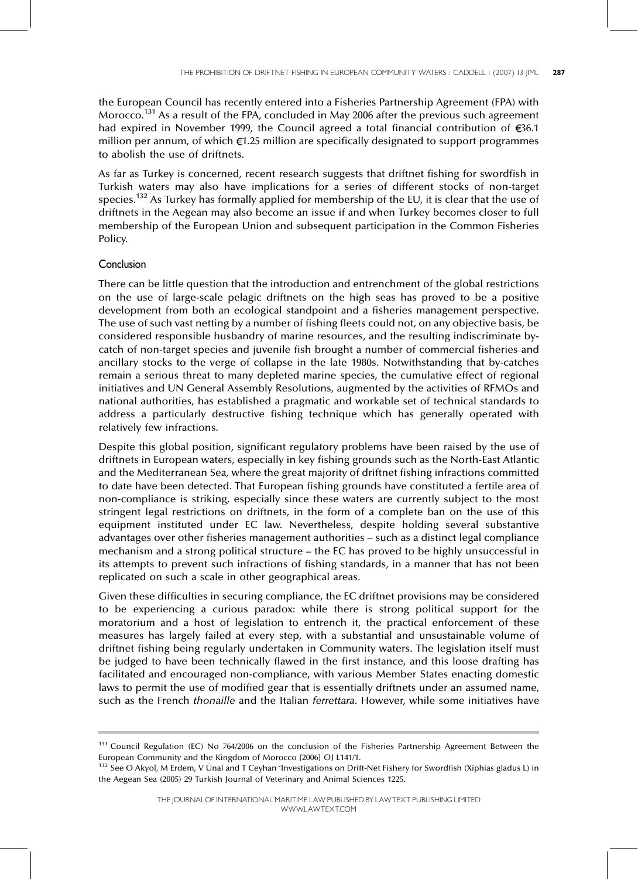the European Council has recently entered into a Fisheries Partnership Agreement (FPA) with Morocco.<sup>131</sup> As a result of the FPA, concluded in May 2006 after the previous such agreement had expired in November 1999, the Council agreed a total financial contribution of  $\epsilon$ 36.1 million per annum, of which  $\epsilon$ 1.25 million are specifically designated to support programmes to abolish the use of driftnets.

As far as Turkey is concerned, recent research suggests that driftnet fishing for swordfish in Turkish waters may also have implications for a series of different stocks of non-target species.132 As Turkey has formally applied for membership of the EU, it is clear that the use of driftnets in the Aegean may also become an issue if and when Turkey becomes closer to full membership of the European Union and subsequent participation in the Common Fisheries Policy.

## Conclusion

There can be little question that the introduction and entrenchment of the global restrictions on the use of large-scale pelagic driftnets on the high seas has proved to be a positive development from both an ecological standpoint and a fisheries management perspective. The use of such vast netting by a number of fishing fleets could not, on any objective basis, be considered responsible husbandry of marine resources, and the resulting indiscriminate bycatch of non-target species and juvenile fish brought a number of commercial fisheries and ancillary stocks to the verge of collapse in the late 1980s. Notwithstanding that by-catches remain a serious threat to many depleted marine species, the cumulative effect of regional initiatives and UN General Assembly Resolutions, augmented by the activities of RFMOs and national authorities, has established a pragmatic and workable set of technical standards to address a particularly destructive fishing technique which has generally operated with relatively few infractions.

Despite this global position, significant regulatory problems have been raised by the use of driftnets in European waters, especially in key fishing grounds such as the North-East Atlantic and the Mediterranean Sea, where the great majority of driftnet fishing infractions committed to date have been detected. That European fishing grounds have constituted a fertile area of non-compliance is striking, especially since these waters are currently subject to the most stringent legal restrictions on driftnets, in the form of a complete ban on the use of this equipment instituted under EC law. Nevertheless, despite holding several substantive advantages over other fisheries management authorities - such as a distinct legal compliance mechanism and a strong political structure - the EC has proved to be highly unsuccessful in its attempts to prevent such infractions of fishing standards, in a manner that has not been replicated on such a scale in other geographical areas.

Given these difficulties in securing compliance, the EC driftnet provisions may be considered to be experiencing a curious paradox: while there is strong political support for the moratorium and a host of legislation to entrench it, the practical enforcement of these measures has largely failed at every step, with a substantial and unsustainable volume of driftnet fishing being regularly undertaken in Community waters. The legislation itself must be judged to have been technically flawed in the first instance, and this loose drafting has facilitated and encouraged non-compliance, with various Member States enacting domestic laws to permit the use of modified gear that is essentially driftnets under an assumed name, such as the French thonaille and the Italian ferrettara. However, while some initiatives have

<sup>&</sup>lt;sup>131</sup> Council Regulation (EC) No 764/2006 on the conclusion of the Fisheries Partnership Agreement Between the European Community and the Kingdom of Morocco [2006] OJ L141/1.

<sup>132</sup> See O Akyol, M Erdem, V Ünal and T Ceyhan 'Investigations on Drift-Net Fishery for Swordfish (Xiphias gladus L) in the Aegean Sea (2005) 29 Turkish Journal of Veterinary and Animal Sciences 1225.